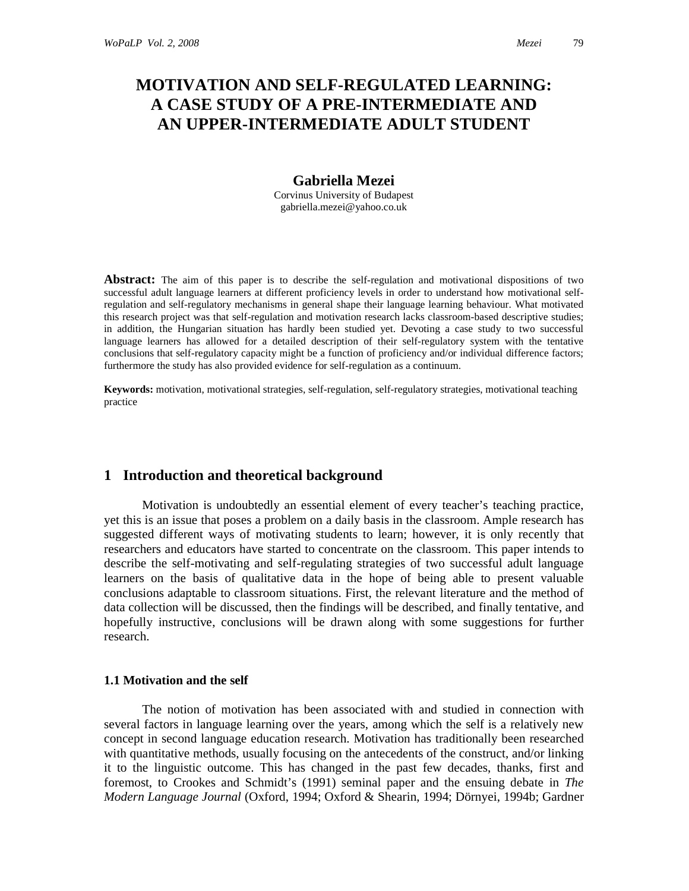# **MOTIVATION AND SELF-REGULATED LEARNING: A CASE STUDY OF A PRE-INTERMEDIATE AND AN UPPER-INTERMEDIATE ADULT STUDENT**

### **Gabriella Mezei**

Corvinus University of Budapest gabriella.mezei@yahoo.co.uk

Abstract: The aim of this paper is to describe the self-regulation and motivational dispositions of two successful adult language learners at different proficiency levels in order to understand how motivational selfregulation and self-regulatory mechanisms in general shape their language learning behaviour. What motivated this research project was that self-regulation and motivation research lacks classroom-based descriptive studies; in addition, the Hungarian situation has hardly been studied yet. Devoting a case study to two successful language learners has allowed for a detailed description of their self-regulatory system with the tentative conclusions that self-regulatory capacity might be a function of proficiency and/or individual difference factors; furthermore the study has also provided evidence for self-regulation as a continuum.

**Keywords:** motivation, motivational strategies, self-regulation, self-regulatory strategies, motivational teaching practice

## **1 Introduction and theoretical background**

Motivation is undoubtedly an essential element of every teacher's teaching practice, yet this is an issue that poses a problem on a daily basis in the classroom. Ample research has suggested different ways of motivating students to learn; however, it is only recently that researchers and educators have started to concentrate on the classroom. This paper intends to describe the self-motivating and self-regulating strategies of two successful adult language learners on the basis of qualitative data in the hope of being able to present valuable conclusions adaptable to classroom situations. First, the relevant literature and the method of data collection will be discussed, then the findings will be described, and finally tentative, and hopefully instructive, conclusions will be drawn along with some suggestions for further research.

### **1.1 Motivation and the self**

The notion of motivation has been associated with and studied in connection with several factors in language learning over the years, among which the self is a relatively new concept in second language education research. Motivation has traditionally been researched with quantitative methods, usually focusing on the antecedents of the construct, and/or linking it to the linguistic outcome. This has changed in the past few decades, thanks, first and foremost, to Crookes and Schmidt's (1991) seminal paper and the ensuing debate in *The Modern Language Journal* (Oxford, 1994; Oxford & Shearin, 1994; Dörnyei, 1994b; Gardner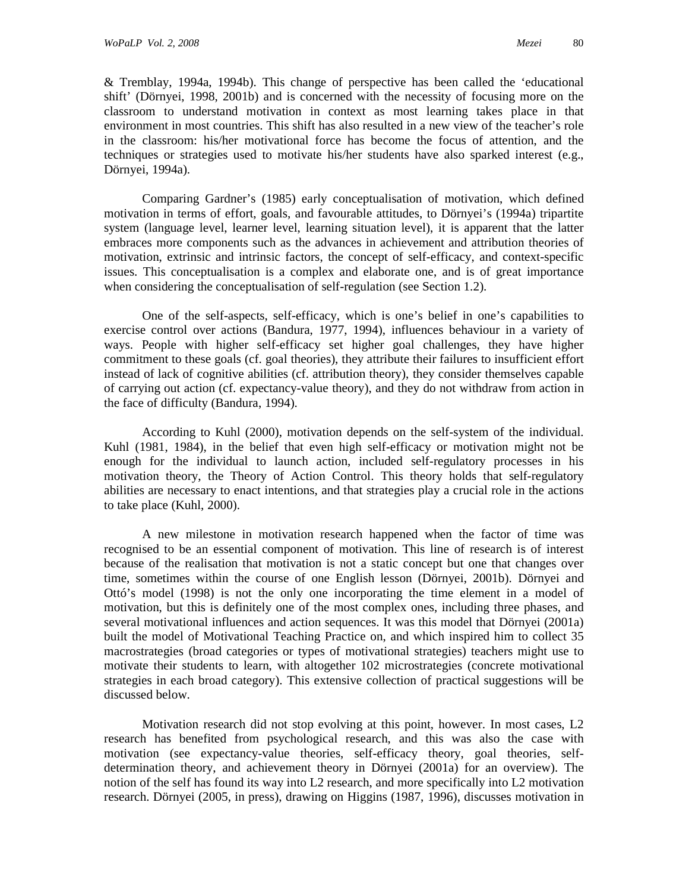& Tremblay, 1994a, 1994b). This change of perspective has been called the 'educational shift' (Dörnyei, 1998, 2001b) and is concerned with the necessity of focusing more on the classroom to understand motivation in context as most learning takes place in that environment in most countries. This shift has also resulted in a new view of the teacher's role in the classroom: his/her motivational force has become the focus of attention, and the techniques or strategies used to motivate his/her students have also sparked interest (e.g., Dörnyei, 1994a).

Comparing Gardner's (1985) early conceptualisation of motivation, which defined motivation in terms of effort, goals, and favourable attitudes, to Dörnyei's (1994a) tripartite system (language level, learner level, learning situation level), it is apparent that the latter embraces more components such as the advances in achievement and attribution theories of motivation, extrinsic and intrinsic factors, the concept of self-efficacy, and context-specific issues. This conceptualisation is a complex and elaborate one, and is of great importance when considering the conceptualisation of self-regulation (see Section 1.2).

One of the self-aspects, self-efficacy, which is one's belief in one's capabilities to exercise control over actions (Bandura, 1977, 1994), influences behaviour in a variety of ways. People with higher self-efficacy set higher goal challenges, they have higher commitment to these goals (cf. goal theories), they attribute their failures to insufficient effort instead of lack of cognitive abilities (cf. attribution theory), they consider themselves capable of carrying out action (cf. expectancy-value theory), and they do not withdraw from action in the face of difficulty (Bandura, 1994).

According to Kuhl (2000), motivation depends on the self-system of the individual. Kuhl (1981, 1984), in the belief that even high self-efficacy or motivation might not be enough for the individual to launch action, included self-regulatory processes in his motivation theory, the Theory of Action Control. This theory holds that self-regulatory abilities are necessary to enact intentions, and that strategies play a crucial role in the actions to take place (Kuhl, 2000).

A new milestone in motivation research happened when the factor of time was recognised to be an essential component of motivation. This line of research is of interest because of the realisation that motivation is not a static concept but one that changes over time, sometimes within the course of one English lesson (Dörnyei, 2001b). Dörnyei and Ottó's model (1998) is not the only one incorporating the time element in a model of motivation, but this is definitely one of the most complex ones, including three phases, and several motivational influences and action sequences. It was this model that Dörnyei (2001a) built the model of Motivational Teaching Practice on, and which inspired him to collect 35 macrostrategies (broad categories or types of motivational strategies) teachers might use to motivate their students to learn, with altogether 102 microstrategies (concrete motivational strategies in each broad category). This extensive collection of practical suggestions will be discussed below.

Motivation research did not stop evolving at this point, however. In most cases, L2 research has benefited from psychological research, and this was also the case with motivation (see expectancy-value theories, self-efficacy theory, goal theories, selfdetermination theory, and achievement theory in Dörnyei (2001a) for an overview). The notion of the self has found its way into L2 research, and more specifically into L2 motivation research. Dörnyei (2005, in press), drawing on Higgins (1987, 1996), discusses motivation in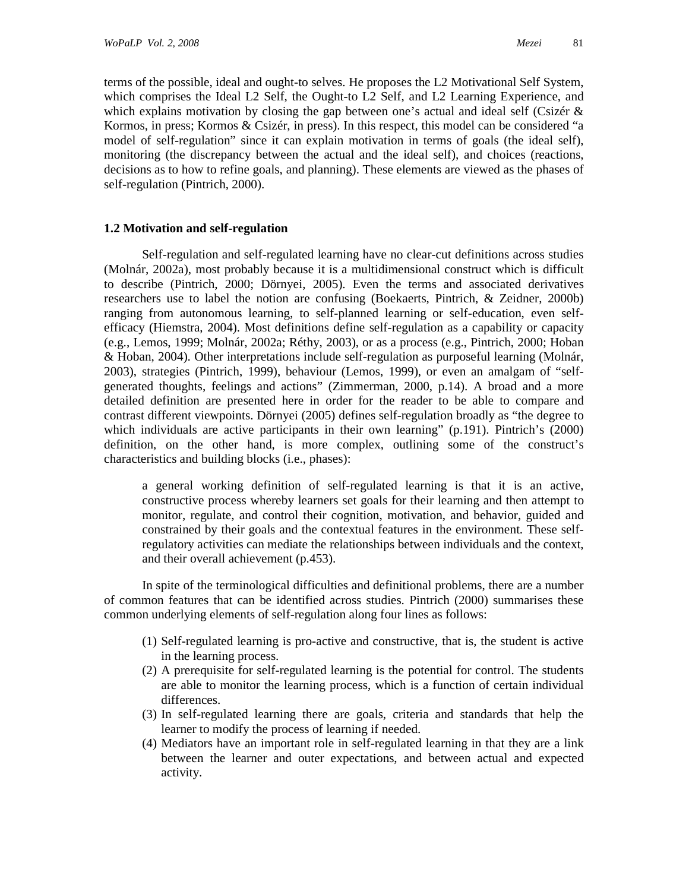terms of the possible, ideal and ought-to selves. He proposes the L2 Motivational Self System, which comprises the Ideal L2 Self, the Ought-to L2 Self, and L2 Learning Experience, and which explains motivation by closing the gap between one's actual and ideal self (Csizér & Kormos, in press; Kormos & Csizér, in press). In this respect, this model can be considered "a model of self-regulation" since it can explain motivation in terms of goals (the ideal self), monitoring (the discrepancy between the actual and the ideal self), and choices (reactions, decisions as to how to refine goals, and planning). These elements are viewed as the phases of self-regulation (Pintrich, 2000).

### **1.2 Motivation and self-regulation**

Self-regulation and self-regulated learning have no clear-cut definitions across studies (Molnár, 2002a), most probably because it is a multidimensional construct which is difficult to describe (Pintrich, 2000; Dörnyei, 2005). Even the terms and associated derivatives researchers use to label the notion are confusing (Boekaerts, Pintrich, & Zeidner, 2000b) ranging from autonomous learning, to self-planned learning or self-education, even selfefficacy (Hiemstra, 2004). Most definitions define self-regulation as a capability or capacity (e.g., Lemos, 1999; Molnár, 2002a; Réthy, 2003), or as a process (e.g., Pintrich, 2000; Hoban & Hoban, 2004). Other interpretations include self-regulation as purposeful learning (Molnár, 2003), strategies (Pintrich, 1999), behaviour (Lemos, 1999), or even an amalgam of "selfgenerated thoughts, feelings and actions" (Zimmerman, 2000, p.14). A broad and a more detailed definition are presented here in order for the reader to be able to compare and contrast different viewpoints. Dörnyei (2005) defines self-regulation broadly as "the degree to which individuals are active participants in their own learning" (p.191). Pintrich's (2000) definition, on the other hand, is more complex, outlining some of the construct's characteristics and building blocks (i.e., phases):

a general working definition of self-regulated learning is that it is an active, constructive process whereby learners set goals for their learning and then attempt to monitor, regulate, and control their cognition, motivation, and behavior, guided and constrained by their goals and the contextual features in the environment. These selfregulatory activities can mediate the relationships between individuals and the context, and their overall achievement (p.453).

In spite of the terminological difficulties and definitional problems, there are a number of common features that can be identified across studies. Pintrich (2000) summarises these common underlying elements of self-regulation along four lines as follows:

- (1) Self-regulated learning is pro-active and constructive, that is, the student is active in the learning process.
- (2) A prerequisite for self-regulated learning is the potential for control. The students are able to monitor the learning process, which is a function of certain individual differences.
- (3) In self-regulated learning there are goals, criteria and standards that help the learner to modify the process of learning if needed.
- (4) Mediators have an important role in self-regulated learning in that they are a link between the learner and outer expectations, and between actual and expected activity.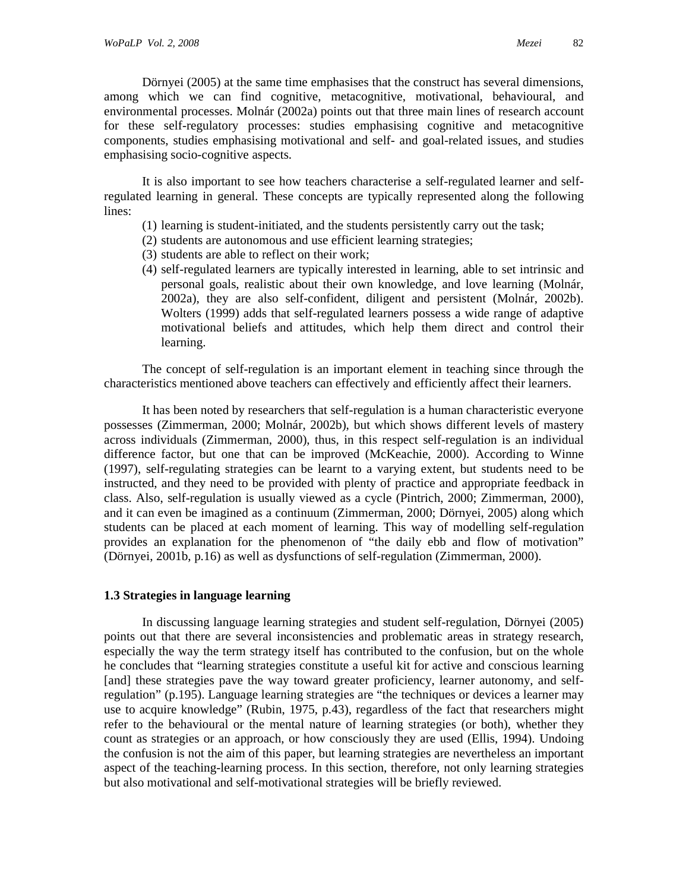Dörnyei (2005) at the same time emphasises that the construct has several dimensions, among which we can find cognitive, metacognitive, motivational, behavioural, and environmental processes. Molnár (2002a) points out that three main lines of research account for these self-regulatory processes: studies emphasising cognitive and metacognitive components, studies emphasising motivational and self- and goal-related issues, and studies emphasising socio-cognitive aspects.

It is also important to see how teachers characterise a self-regulated learner and selfregulated learning in general. These concepts are typically represented along the following lines:

- (1) learning is student-initiated, and the students persistently carry out the task;
- (2) students are autonomous and use efficient learning strategies;
- (3) students are able to reflect on their work;
- (4) self-regulated learners are typically interested in learning, able to set intrinsic and personal goals, realistic about their own knowledge, and love learning (Molnár, 2002a), they are also self-confident, diligent and persistent (Molnár, 2002b). Wolters (1999) adds that self-regulated learners possess a wide range of adaptive motivational beliefs and attitudes, which help them direct and control their learning.

The concept of self-regulation is an important element in teaching since through the characteristics mentioned above teachers can effectively and efficiently affect their learners.

It has been noted by researchers that self-regulation is a human characteristic everyone possesses (Zimmerman, 2000; Molnár, 2002b), but which shows different levels of mastery across individuals (Zimmerman, 2000), thus, in this respect self-regulation is an individual difference factor, but one that can be improved (McKeachie, 2000). According to Winne (1997), self-regulating strategies can be learnt to a varying extent, but students need to be instructed, and they need to be provided with plenty of practice and appropriate feedback in class. Also, self-regulation is usually viewed as a cycle (Pintrich, 2000; Zimmerman, 2000), and it can even be imagined as a continuum (Zimmerman, 2000; Dörnyei, 2005) along which students can be placed at each moment of learning. This way of modelling self-regulation provides an explanation for the phenomenon of "the daily ebb and flow of motivation" (Dörnyei, 2001b, p.16) as well as dysfunctions of self-regulation (Zimmerman, 2000).

#### **1.3 Strategies in language learning**

In discussing language learning strategies and student self-regulation, Dörnyei (2005) points out that there are several inconsistencies and problematic areas in strategy research, especially the way the term strategy itself has contributed to the confusion, but on the whole he concludes that "learning strategies constitute a useful kit for active and conscious learning [and] these strategies pave the way toward greater proficiency, learner autonomy, and selfregulation" (p.195). Language learning strategies are "the techniques or devices a learner may use to acquire knowledge" (Rubin, 1975, p.43), regardless of the fact that researchers might refer to the behavioural or the mental nature of learning strategies (or both), whether they count as strategies or an approach, or how consciously they are used (Ellis, 1994). Undoing the confusion is not the aim of this paper, but learning strategies are nevertheless an important aspect of the teaching-learning process. In this section, therefore, not only learning strategies but also motivational and self-motivational strategies will be briefly reviewed.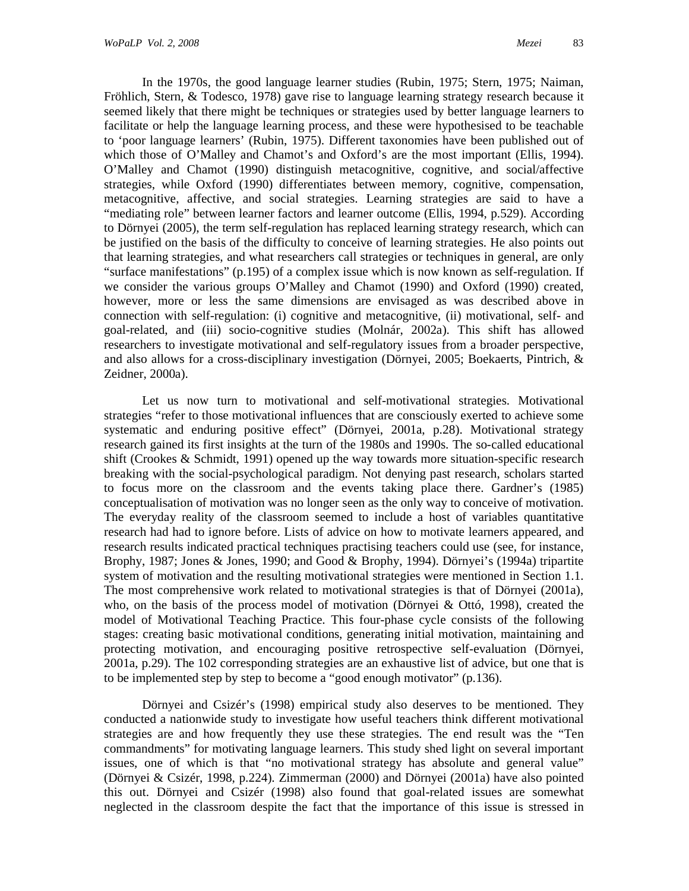In the 1970s, the good language learner studies (Rubin, 1975; Stern, 1975; Naiman, Fröhlich, Stern, & Todesco, 1978) gave rise to language learning strategy research because it seemed likely that there might be techniques or strategies used by better language learners to facilitate or help the language learning process, and these were hypothesised to be teachable to 'poor language learners' (Rubin, 1975). Different taxonomies have been published out of which those of O'Malley and Chamot's and Oxford's are the most important (Ellis, 1994). O'Malley and Chamot (1990) distinguish metacognitive, cognitive, and social/affective strategies, while Oxford (1990) differentiates between memory, cognitive, compensation, metacognitive, affective, and social strategies. Learning strategies are said to have a "mediating role" between learner factors and learner outcome (Ellis, 1994, p.529). According to Dörnyei (2005), the term self-regulation has replaced learning strategy research, which can be justified on the basis of the difficulty to conceive of learning strategies. He also points out that learning strategies, and what researchers call strategies or techniques in general, are only "surface manifestations" (p.195) of a complex issue which is now known as self-regulation. If we consider the various groups O'Malley and Chamot (1990) and Oxford (1990) created, however, more or less the same dimensions are envisaged as was described above in connection with self-regulation: (i) cognitive and metacognitive, (ii) motivational, self- and goal-related, and (iii) socio-cognitive studies (Molnár, 2002a). This shift has allowed researchers to investigate motivational and self-regulatory issues from a broader perspective, and also allows for a cross-disciplinary investigation (Dörnyei, 2005; Boekaerts, Pintrich, & Zeidner, 2000a).

Let us now turn to motivational and self-motivational strategies. Motivational strategies "refer to those motivational influences that are consciously exerted to achieve some systematic and enduring positive effect" (Dörnyei, 2001a, p.28). Motivational strategy research gained its first insights at the turn of the 1980s and 1990s. The so-called educational shift (Crookes & Schmidt, 1991) opened up the way towards more situation-specific research breaking with the social-psychological paradigm. Not denying past research, scholars started to focus more on the classroom and the events taking place there. Gardner's (1985) conceptualisation of motivation was no longer seen as the only way to conceive of motivation. The everyday reality of the classroom seemed to include a host of variables quantitative research had had to ignore before. Lists of advice on how to motivate learners appeared, and research results indicated practical techniques practising teachers could use (see, for instance, Brophy, 1987; Jones & Jones, 1990; and Good & Brophy, 1994). Dörnyei's (1994a) tripartite system of motivation and the resulting motivational strategies were mentioned in Section 1.1. The most comprehensive work related to motivational strategies is that of Dörnyei (2001a), who, on the basis of the process model of motivation (Dörnyei & Ottó, 1998), created the model of Motivational Teaching Practice. This four-phase cycle consists of the following stages: creating basic motivational conditions, generating initial motivation, maintaining and protecting motivation, and encouraging positive retrospective self-evaluation (Dörnyei, 2001a, p.29). The 102 corresponding strategies are an exhaustive list of advice, but one that is to be implemented step by step to become a "good enough motivator" (p.136).

Dörnyei and Csizér's (1998) empirical study also deserves to be mentioned. They conducted a nationwide study to investigate how useful teachers think different motivational strategies are and how frequently they use these strategies. The end result was the "Ten commandments" for motivating language learners. This study shed light on several important issues, one of which is that "no motivational strategy has absolute and general value" (Dörnyei & Csizér, 1998, p.224). Zimmerman (2000) and Dörnyei (2001a) have also pointed this out. Dörnyei and Csizér (1998) also found that goal-related issues are somewhat neglected in the classroom despite the fact that the importance of this issue is stressed in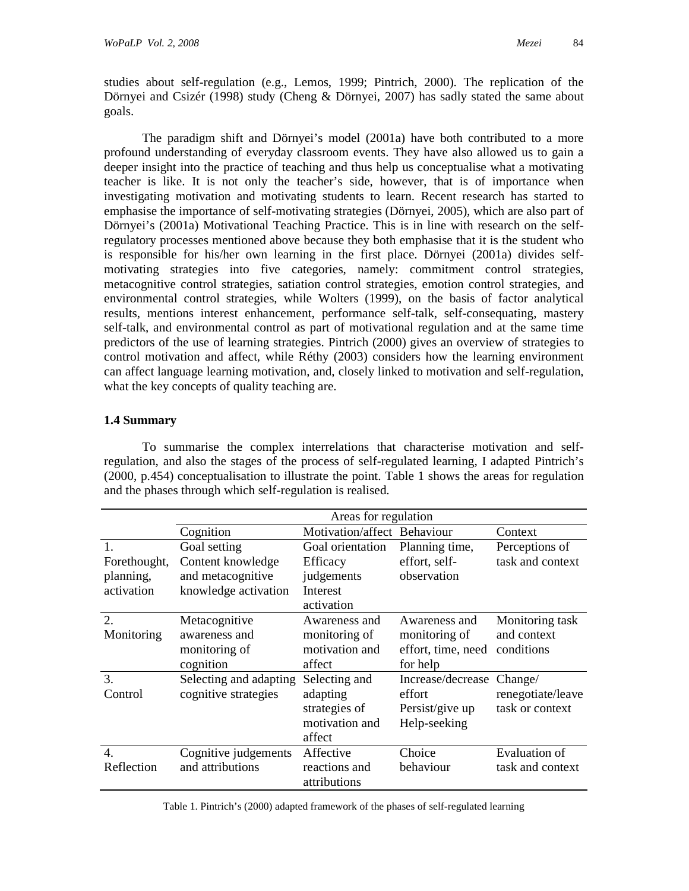studies about self-regulation (e.g., Lemos, 1999; Pintrich, 2000). The replication of the Dörnyei and Csizér (1998) study (Cheng & Dörnyei, 2007) has sadly stated the same about goals.

The paradigm shift and Dörnyei's model (2001a) have both contributed to a more profound understanding of everyday classroom events. They have also allowed us to gain a deeper insight into the practice of teaching and thus help us conceptualise what a motivating teacher is like. It is not only the teacher's side, however, that is of importance when investigating motivation and motivating students to learn. Recent research has started to emphasise the importance of self-motivating strategies (Dörnyei, 2005), which are also part of Dörnyei's (2001a) Motivational Teaching Practice. This is in line with research on the selfregulatory processes mentioned above because they both emphasise that it is the student who is responsible for his/her own learning in the first place. Dörnyei (2001a) divides selfmotivating strategies into five categories, namely: commitment control strategies, metacognitive control strategies, satiation control strategies, emotion control strategies, and environmental control strategies, while Wolters (1999), on the basis of factor analytical results, mentions interest enhancement, performance self-talk, self-consequating, mastery self-talk, and environmental control as part of motivational regulation and at the same time predictors of the use of learning strategies. Pintrich (2000) gives an overview of strategies to control motivation and affect, while Réthy (2003) considers how the learning environment can affect language learning motivation, and, closely linked to motivation and self-regulation, what the key concepts of quality teaching are.

## **1.4 Summary**

To summarise the complex interrelations that characterise motivation and selfregulation, and also the stages of the process of self-regulated learning, I adapted Pintrich's (2000, p.454) conceptualisation to illustrate the point. Table 1 shows the areas for regulation and the phases through which self-regulation is realised.

|                  | Areas for regulation   |                             |                    |                   |  |
|------------------|------------------------|-----------------------------|--------------------|-------------------|--|
|                  | Cognition              | Motivation/affect Behaviour |                    | Context           |  |
| 1.               | Goal setting           | Goal orientation            | Planning time,     | Perceptions of    |  |
| Forethought,     | Content knowledge      | Efficacy                    | effort, self-      | task and context  |  |
| planning,        | and metacognitive      | judgements                  | observation        |                   |  |
| activation       | knowledge activation   | Interest                    |                    |                   |  |
|                  |                        | activation                  |                    |                   |  |
| 2.               | Metacognitive          | Awareness and               | Awareness and      | Monitoring task   |  |
| Monitoring       | awareness and          | monitoring of               | monitoring of      | and context       |  |
|                  | monitoring of          | motivation and              | effort, time, need | conditions        |  |
|                  | cognition              | affect                      | for help           |                   |  |
| 3.               | Selecting and adapting | Selecting and               | Increase/decrease  | Change/           |  |
| Control          | cognitive strategies   | adapting                    | effort             | renegotiate/leave |  |
|                  |                        | strategies of               | Persist/give up    | task or context   |  |
|                  |                        | motivation and              | Help-seeking       |                   |  |
|                  |                        | affect                      |                    |                   |  |
| $\overline{4}$ . | Cognitive judgements   | Affective                   | Choice             | Evaluation of     |  |
| Reflection       | and attributions       | reactions and               | behaviour          | task and context  |  |
|                  |                        | attributions                |                    |                   |  |

Table 1. Pintrich's (2000) adapted framework of the phases of self-regulated learning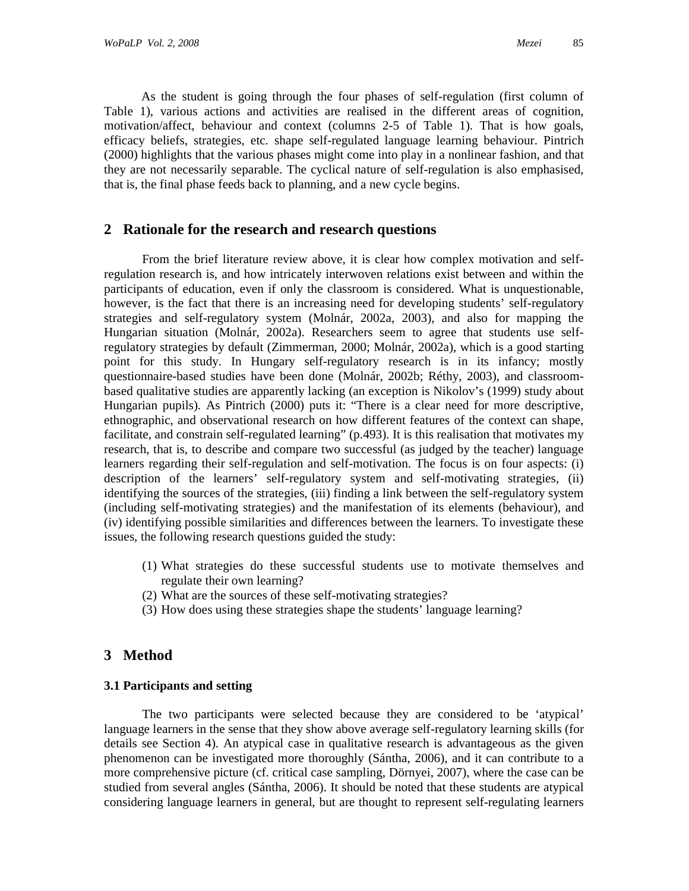As the student is going through the four phases of self-regulation (first column of Table 1), various actions and activities are realised in the different areas of cognition, motivation/affect, behaviour and context (columns 2-5 of Table 1). That is how goals, efficacy beliefs, strategies, etc. shape self-regulated language learning behaviour. Pintrich (2000) highlights that the various phases might come into play in a nonlinear fashion, and that they are not necessarily separable. The cyclical nature of self-regulation is also emphasised, that is, the final phase feeds back to planning, and a new cycle begins.

## **2 Rationale for the research and research questions**

From the brief literature review above, it is clear how complex motivation and selfregulation research is, and how intricately interwoven relations exist between and within the participants of education, even if only the classroom is considered. What is unquestionable, however, is the fact that there is an increasing need for developing students' self-regulatory strategies and self-regulatory system (Molnár, 2002a, 2003), and also for mapping the Hungarian situation (Molnár, 2002a). Researchers seem to agree that students use selfregulatory strategies by default (Zimmerman, 2000; Molnár, 2002a), which is a good starting point for this study. In Hungary self-regulatory research is in its infancy; mostly questionnaire-based studies have been done (Molnár, 2002b; Réthy, 2003), and classroombased qualitative studies are apparently lacking (an exception is Nikolov's (1999) study about Hungarian pupils). As Pintrich (2000) puts it: "There is a clear need for more descriptive, ethnographic, and observational research on how different features of the context can shape, facilitate, and constrain self-regulated learning" (p.493). It is this realisation that motivates my research, that is, to describe and compare two successful (as judged by the teacher) language learners regarding their self-regulation and self-motivation. The focus is on four aspects: (i) description of the learners' self-regulatory system and self-motivating strategies, (ii) identifying the sources of the strategies, (iii) finding a link between the self-regulatory system (including self-motivating strategies) and the manifestation of its elements (behaviour), and (iv) identifying possible similarities and differences between the learners. To investigate these issues, the following research questions guided the study:

- (1) What strategies do these successful students use to motivate themselves and regulate their own learning?
- (2) What are the sources of these self-motivating strategies?
- (3) How does using these strategies shape the students' language learning?

## **3 Method**

### **3.1 Participants and setting**

The two participants were selected because they are considered to be 'atypical' language learners in the sense that they show above average self-regulatory learning skills (for details see Section 4). An atypical case in qualitative research is advantageous as the given phenomenon can be investigated more thoroughly (Sántha, 2006), and it can contribute to a more comprehensive picture (cf. critical case sampling, Dörnyei, 2007), where the case can be studied from several angles (Sántha, 2006). It should be noted that these students are atypical considering language learners in general, but are thought to represent self-regulating learners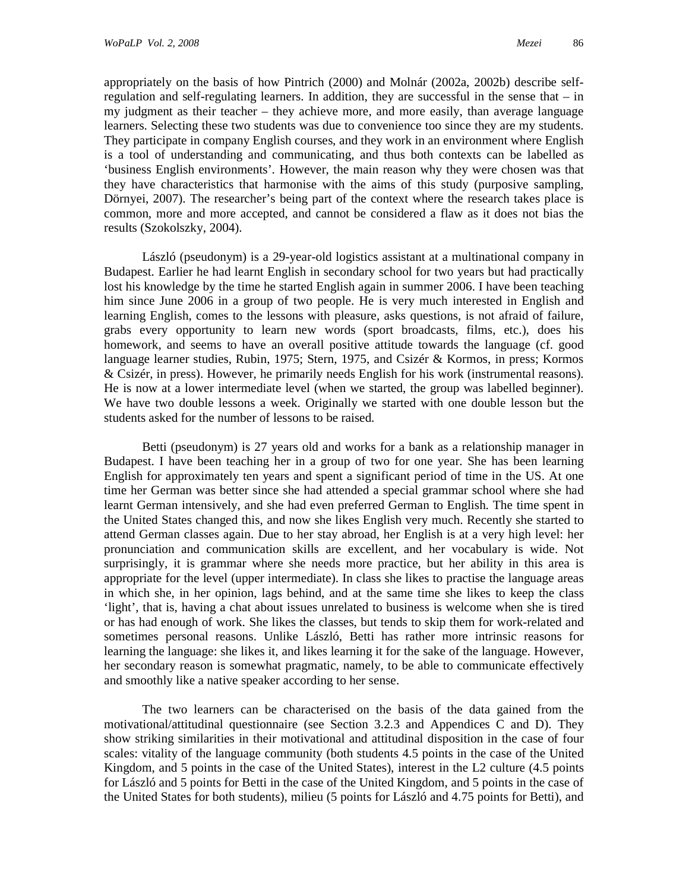appropriately on the basis of how Pintrich (2000) and Molnár (2002a, 2002b) describe selfregulation and self-regulating learners. In addition, they are successful in the sense that – in my judgment as their teacher – they achieve more, and more easily, than average language learners. Selecting these two students was due to convenience too since they are my students. They participate in company English courses, and they work in an environment where English is a tool of understanding and communicating, and thus both contexts can be labelled as 'business English environments'. However, the main reason why they were chosen was that they have characteristics that harmonise with the aims of this study (purposive sampling, Dörnyei, 2007). The researcher's being part of the context where the research takes place is common, more and more accepted, and cannot be considered a flaw as it does not bias the results (Szokolszky, 2004).

László (pseudonym) is a 29-year-old logistics assistant at a multinational company in Budapest. Earlier he had learnt English in secondary school for two years but had practically lost his knowledge by the time he started English again in summer 2006. I have been teaching him since June 2006 in a group of two people. He is very much interested in English and learning English, comes to the lessons with pleasure, asks questions, is not afraid of failure, grabs every opportunity to learn new words (sport broadcasts, films, etc.), does his homework, and seems to have an overall positive attitude towards the language (cf. good language learner studies, Rubin, 1975; Stern, 1975, and Csizér & Kormos, in press; Kormos & Csizér, in press). However, he primarily needs English for his work (instrumental reasons). He is now at a lower intermediate level (when we started, the group was labelled beginner). We have two double lessons a week. Originally we started with one double lesson but the students asked for the number of lessons to be raised.

Betti (pseudonym) is 27 years old and works for a bank as a relationship manager in Budapest. I have been teaching her in a group of two for one year. She has been learning English for approximately ten years and spent a significant period of time in the US. At one time her German was better since she had attended a special grammar school where she had learnt German intensively, and she had even preferred German to English. The time spent in the United States changed this, and now she likes English very much. Recently she started to attend German classes again. Due to her stay abroad, her English is at a very high level: her pronunciation and communication skills are excellent, and her vocabulary is wide. Not surprisingly, it is grammar where she needs more practice, but her ability in this area is appropriate for the level (upper intermediate). In class she likes to practise the language areas in which she, in her opinion, lags behind, and at the same time she likes to keep the class 'light', that is, having a chat about issues unrelated to business is welcome when she is tired or has had enough of work. She likes the classes, but tends to skip them for work-related and sometimes personal reasons. Unlike László, Betti has rather more intrinsic reasons for learning the language: she likes it, and likes learning it for the sake of the language. However, her secondary reason is somewhat pragmatic, namely, to be able to communicate effectively and smoothly like a native speaker according to her sense.

The two learners can be characterised on the basis of the data gained from the motivational/attitudinal questionnaire (see Section 3.2.3 and Appendices C and D). They show striking similarities in their motivational and attitudinal disposition in the case of four scales: vitality of the language community (both students 4.5 points in the case of the United Kingdom, and 5 points in the case of the United States), interest in the L2 culture (4.5 points for László and 5 points for Betti in the case of the United Kingdom, and 5 points in the case of the United States for both students), milieu (5 points for László and 4.75 points for Betti), and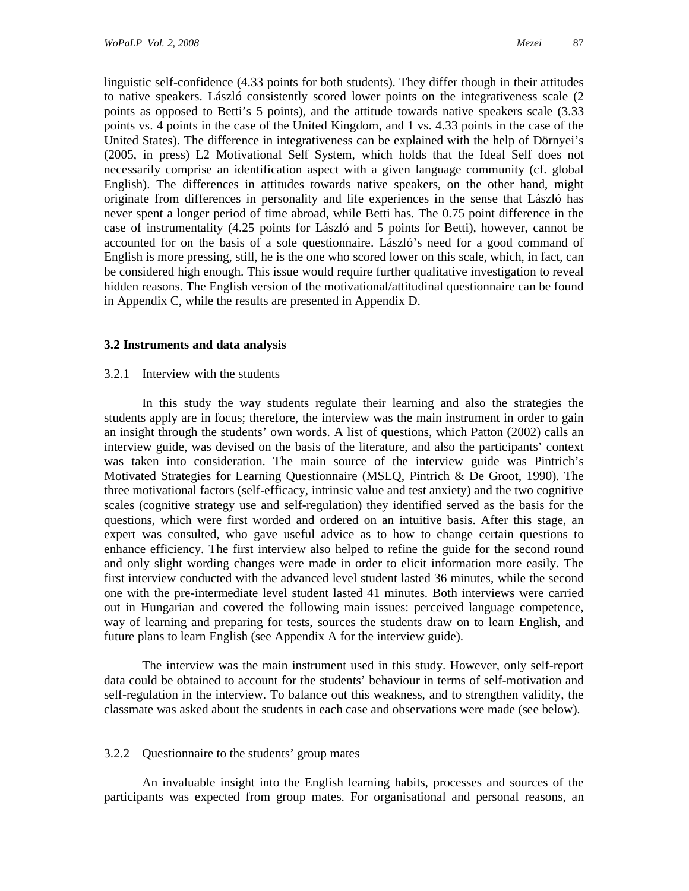linguistic self-confidence (4.33 points for both students). They differ though in their attitudes to native speakers. László consistently scored lower points on the integrativeness scale (2 points as opposed to Betti's 5 points), and the attitude towards native speakers scale (3.33 points vs. 4 points in the case of the United Kingdom, and 1 vs. 4.33 points in the case of the United States). The difference in integrativeness can be explained with the help of Dörnyei's (2005, in press) L2 Motivational Self System, which holds that the Ideal Self does not necessarily comprise an identification aspect with a given language community (cf. global English). The differences in attitudes towards native speakers, on the other hand, might originate from differences in personality and life experiences in the sense that László has never spent a longer period of time abroad, while Betti has. The 0.75 point difference in the case of instrumentality (4.25 points for László and 5 points for Betti), however, cannot be accounted for on the basis of a sole questionnaire. László's need for a good command of English is more pressing, still, he is the one who scored lower on this scale, which, in fact, can be considered high enough. This issue would require further qualitative investigation to reveal hidden reasons. The English version of the motivational/attitudinal questionnaire can be found in Appendix C, while the results are presented in Appendix D.

#### **3.2 Instruments and data analysis**

#### 3.2.1 Interview with the students

In this study the way students regulate their learning and also the strategies the students apply are in focus; therefore, the interview was the main instrument in order to gain an insight through the students' own words. A list of questions, which Patton (2002) calls an interview guide, was devised on the basis of the literature, and also the participants' context was taken into consideration. The main source of the interview guide was Pintrich's Motivated Strategies for Learning Questionnaire (MSLQ, Pintrich & De Groot, 1990). The three motivational factors (self-efficacy, intrinsic value and test anxiety) and the two cognitive scales (cognitive strategy use and self-regulation) they identified served as the basis for the questions, which were first worded and ordered on an intuitive basis. After this stage, an expert was consulted, who gave useful advice as to how to change certain questions to enhance efficiency. The first interview also helped to refine the guide for the second round and only slight wording changes were made in order to elicit information more easily. The first interview conducted with the advanced level student lasted 36 minutes, while the second one with the pre-intermediate level student lasted 41 minutes. Both interviews were carried out in Hungarian and covered the following main issues: perceived language competence, way of learning and preparing for tests, sources the students draw on to learn English, and future plans to learn English (see Appendix A for the interview guide).

The interview was the main instrument used in this study. However, only self-report data could be obtained to account for the students' behaviour in terms of self-motivation and self-regulation in the interview. To balance out this weakness, and to strengthen validity, the classmate was asked about the students in each case and observations were made (see below).

#### 3.2.2 Questionnaire to the students' group mates

An invaluable insight into the English learning habits, processes and sources of the participants was expected from group mates. For organisational and personal reasons, an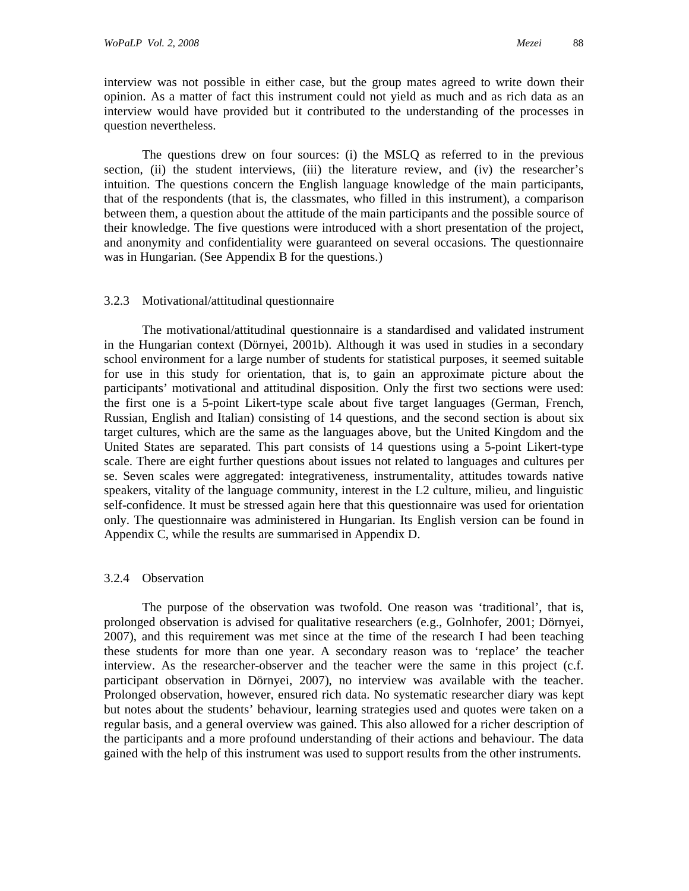interview was not possible in either case, but the group mates agreed to write down their opinion. As a matter of fact this instrument could not yield as much and as rich data as an interview would have provided but it contributed to the understanding of the processes in question nevertheless.

The questions drew on four sources: (i) the MSLQ as referred to in the previous section, (ii) the student interviews, (iii) the literature review, and (iv) the researcher's intuition. The questions concern the English language knowledge of the main participants, that of the respondents (that is, the classmates, who filled in this instrument), a comparison between them, a question about the attitude of the main participants and the possible source of their knowledge. The five questions were introduced with a short presentation of the project, and anonymity and confidentiality were guaranteed on several occasions. The questionnaire was in Hungarian. (See Appendix B for the questions.)

### 3.2.3 Motivational/attitudinal questionnaire

The motivational/attitudinal questionnaire is a standardised and validated instrument in the Hungarian context (Dörnyei, 2001b). Although it was used in studies in a secondary school environment for a large number of students for statistical purposes, it seemed suitable for use in this study for orientation, that is, to gain an approximate picture about the participants' motivational and attitudinal disposition. Only the first two sections were used: the first one is a 5-point Likert-type scale about five target languages (German, French, Russian, English and Italian) consisting of 14 questions, and the second section is about six target cultures, which are the same as the languages above, but the United Kingdom and the United States are separated. This part consists of 14 questions using a 5-point Likert-type scale. There are eight further questions about issues not related to languages and cultures per se. Seven scales were aggregated: integrativeness, instrumentality, attitudes towards native speakers, vitality of the language community, interest in the L2 culture, milieu, and linguistic self-confidence. It must be stressed again here that this questionnaire was used for orientation only. The questionnaire was administered in Hungarian. Its English version can be found in Appendix C, while the results are summarised in Appendix D.

### 3.2.4 Observation

The purpose of the observation was twofold. One reason was 'traditional', that is, prolonged observation is advised for qualitative researchers (e.g., Golnhofer, 2001; Dörnyei, 2007), and this requirement was met since at the time of the research I had been teaching these students for more than one year. A secondary reason was to 'replace' the teacher interview. As the researcher-observer and the teacher were the same in this project (c.f. participant observation in Dörnyei, 2007), no interview was available with the teacher. Prolonged observation, however, ensured rich data. No systematic researcher diary was kept but notes about the students' behaviour, learning strategies used and quotes were taken on a regular basis, and a general overview was gained. This also allowed for a richer description of the participants and a more profound understanding of their actions and behaviour. The data gained with the help of this instrument was used to support results from the other instruments.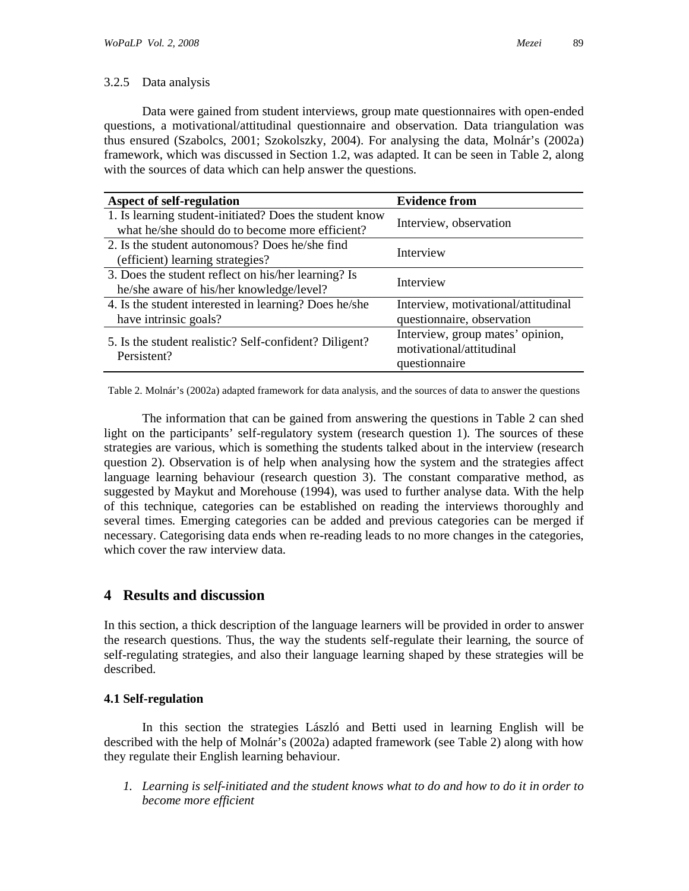## 3.2.5 Data analysis

Data were gained from student interviews, group mate questionnaires with open-ended questions, a motivational/attitudinal questionnaire and observation. Data triangulation was thus ensured (Szabolcs, 2001; Szokolszky, 2004). For analysing the data, Molnár's (2002a) framework, which was discussed in Section 1.2, was adapted. It can be seen in Table 2, along with the sources of data which can help answer the questions.

| <b>Aspect of self-regulation</b>                        | <b>Evidence from</b>                |
|---------------------------------------------------------|-------------------------------------|
| 1. Is learning student-initiated? Does the student know | Interview, observation              |
| what he/she should do to become more efficient?         |                                     |
| 2. Is the student autonomous? Does he/she find          | Interview                           |
| (efficient) learning strategies?                        |                                     |
| 3. Does the student reflect on his/her learning? Is     | Interview                           |
| he/she aware of his/her knowledge/level?                |                                     |
| 4. Is the student interested in learning? Does he/she   | Interview, motivational/attitudinal |
| have intrinsic goals?                                   | questionnaire, observation          |
|                                                         | Interview, group mates' opinion,    |
| 5. Is the student realistic? Self-confident? Diligent?  | motivational/attitudinal            |
| Persistent?                                             | questionnaire                       |

Table 2. Molnár's (2002a) adapted framework for data analysis, and the sources of data to answer the questions

The information that can be gained from answering the questions in Table 2 can shed light on the participants' self-regulatory system (research question 1). The sources of these strategies are various, which is something the students talked about in the interview (research question 2). Observation is of help when analysing how the system and the strategies affect language learning behaviour (research question 3). The constant comparative method, as suggested by Maykut and Morehouse (1994), was used to further analyse data. With the help of this technique, categories can be established on reading the interviews thoroughly and several times. Emerging categories can be added and previous categories can be merged if necessary. Categorising data ends when re-reading leads to no more changes in the categories, which cover the raw interview data.

## **4 Results and discussion**

In this section, a thick description of the language learners will be provided in order to answer the research questions. Thus, the way the students self-regulate their learning, the source of self-regulating strategies, and also their language learning shaped by these strategies will be described.

## **4.1 Self-regulation**

In this section the strategies László and Betti used in learning English will be described with the help of Molnár's (2002a) adapted framework (see Table 2) along with how they regulate their English learning behaviour.

*1. Learning is self-initiated and the student knows what to do and how to do it in order to become more efficient*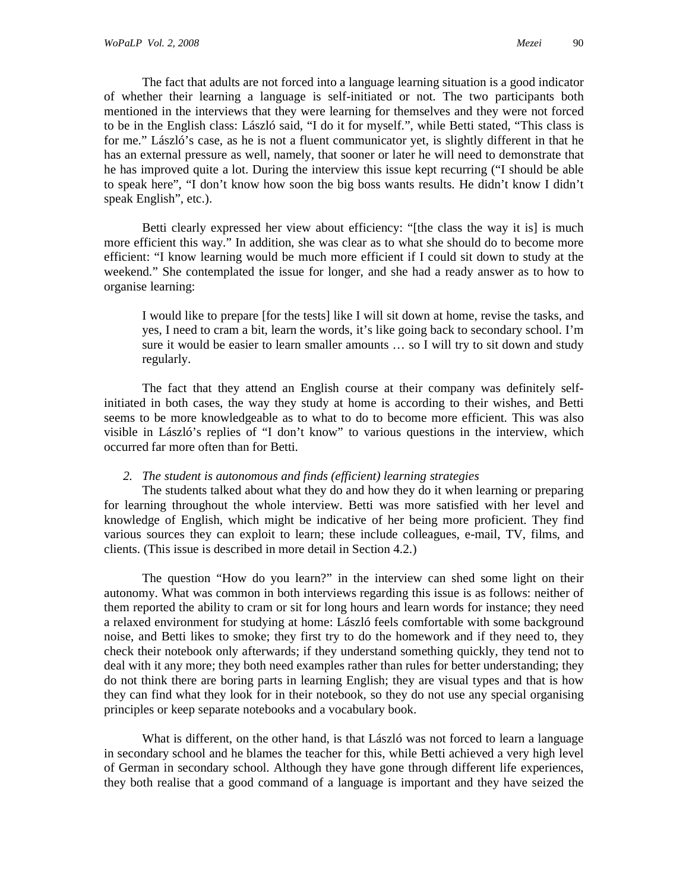The fact that adults are not forced into a language learning situation is a good indicator of whether their learning a language is self-initiated or not. The two participants both mentioned in the interviews that they were learning for themselves and they were not forced to be in the English class: László said, "I do it for myself.", while Betti stated, "This class is for me." László's case, as he is not a fluent communicator yet, is slightly different in that he has an external pressure as well, namely, that sooner or later he will need to demonstrate that he has improved quite a lot. During the interview this issue kept recurring ("I should be able to speak here", "I don't know how soon the big boss wants results. He didn't know I didn't speak English", etc.).

Betti clearly expressed her view about efficiency: "[the class the way it is] is much more efficient this way." In addition, she was clear as to what she should do to become more efficient: "I know learning would be much more efficient if I could sit down to study at the weekend." She contemplated the issue for longer, and she had a ready answer as to how to organise learning:

I would like to prepare [for the tests] like I will sit down at home, revise the tasks, and yes, I need to cram a bit, learn the words, it's like going back to secondary school. I'm sure it would be easier to learn smaller amounts … so I will try to sit down and study regularly.

The fact that they attend an English course at their company was definitely selfinitiated in both cases, the way they study at home is according to their wishes, and Betti seems to be more knowledgeable as to what to do to become more efficient. This was also visible in László's replies of "I don't know" to various questions in the interview, which occurred far more often than for Betti.

### *2. The student is autonomous and finds (efficient) learning strategies*

The students talked about what they do and how they do it when learning or preparing for learning throughout the whole interview. Betti was more satisfied with her level and knowledge of English, which might be indicative of her being more proficient. They find various sources they can exploit to learn; these include colleagues, e-mail, TV, films, and clients. (This issue is described in more detail in Section 4.2.)

The question "How do you learn?" in the interview can shed some light on their autonomy. What was common in both interviews regarding this issue is as follows: neither of them reported the ability to cram or sit for long hours and learn words for instance; they need a relaxed environment for studying at home: László feels comfortable with some background noise, and Betti likes to smoke; they first try to do the homework and if they need to, they check their notebook only afterwards; if they understand something quickly, they tend not to deal with it any more; they both need examples rather than rules for better understanding; they do not think there are boring parts in learning English; they are visual types and that is how they can find what they look for in their notebook, so they do not use any special organising principles or keep separate notebooks and a vocabulary book.

What is different, on the other hand, is that László was not forced to learn a language in secondary school and he blames the teacher for this, while Betti achieved a very high level of German in secondary school. Although they have gone through different life experiences, they both realise that a good command of a language is important and they have seized the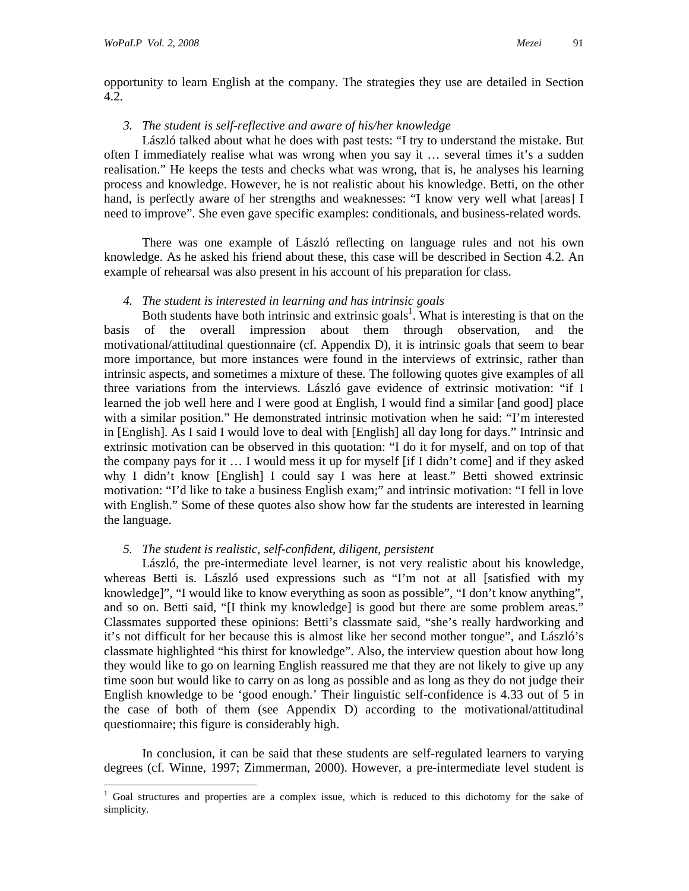-

opportunity to learn English at the company. The strategies they use are detailed in Section 4.2.

#### *3. The student is self-reflective and aware of his/her knowledge*

László talked about what he does with past tests: "I try to understand the mistake. But often I immediately realise what was wrong when you say it … several times it's a sudden realisation." He keeps the tests and checks what was wrong, that is, he analyses his learning process and knowledge. However, he is not realistic about his knowledge. Betti, on the other hand, is perfectly aware of her strengths and weaknesses: "I know very well what [areas] I need to improve". She even gave specific examples: conditionals, and business-related words.

There was one example of László reflecting on language rules and not his own knowledge. As he asked his friend about these, this case will be described in Section 4.2. An example of rehearsal was also present in his account of his preparation for class.

#### *4. The student is interested in learning and has intrinsic goals*

Both students have both intrinsic and extrinsic goals<sup>1</sup>. What is interesting is that on the basis of the overall impression about them through observation, and the motivational/attitudinal questionnaire (cf. Appendix D), it is intrinsic goals that seem to bear more importance, but more instances were found in the interviews of extrinsic, rather than intrinsic aspects, and sometimes a mixture of these. The following quotes give examples of all three variations from the interviews. László gave evidence of extrinsic motivation: "if I learned the job well here and I were good at English, I would find a similar [and good] place with a similar position." He demonstrated intrinsic motivation when he said: "I'm interested in [English]. As I said I would love to deal with [English] all day long for days." Intrinsic and extrinsic motivation can be observed in this quotation: "I do it for myself, and on top of that the company pays for it … I would mess it up for myself [if I didn't come] and if they asked why I didn't know [English] I could say I was here at least." Betti showed extrinsic motivation: "I'd like to take a business English exam;" and intrinsic motivation: "I fell in love with English." Some of these quotes also show how far the students are interested in learning the language.

#### *5. The student is realistic, self-confident, diligent, persistent*

László, the pre-intermediate level learner, is not very realistic about his knowledge, whereas Betti is. László used expressions such as "I'm not at all [satisfied with my knowledge]", "I would like to know everything as soon as possible", "I don't know anything", and so on. Betti said, "[I think my knowledge] is good but there are some problem areas." Classmates supported these opinions: Betti's classmate said, "she's really hardworking and it's not difficult for her because this is almost like her second mother tongue", and László's classmate highlighted "his thirst for knowledge". Also, the interview question about how long they would like to go on learning English reassured me that they are not likely to give up any time soon but would like to carry on as long as possible and as long as they do not judge their English knowledge to be 'good enough.' Their linguistic self-confidence is 4.33 out of 5 in the case of both of them (see Appendix D) according to the motivational/attitudinal questionnaire; this figure is considerably high.

In conclusion, it can be said that these students are self-regulated learners to varying degrees (cf. Winne, 1997; Zimmerman, 2000). However, a pre-intermediate level student is

<sup>&</sup>lt;sup>1</sup> Goal structures and properties are a complex issue, which is reduced to this dichotomy for the sake of simplicity.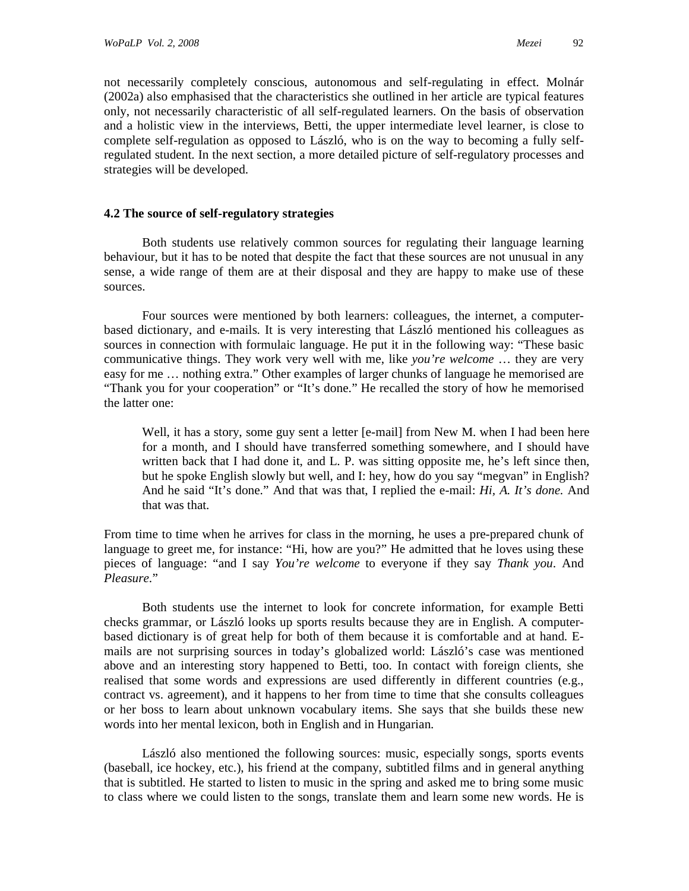not necessarily completely conscious, autonomous and self-regulating in effect. Molnár (2002a) also emphasised that the characteristics she outlined in her article are typical features only, not necessarily characteristic of all self-regulated learners. On the basis of observation and a holistic view in the interviews, Betti, the upper intermediate level learner, is close to complete self-regulation as opposed to László, who is on the way to becoming a fully selfregulated student. In the next section, a more detailed picture of self-regulatory processes and strategies will be developed.

### **4.2 The source of self-regulatory strategies**

Both students use relatively common sources for regulating their language learning behaviour, but it has to be noted that despite the fact that these sources are not unusual in any sense, a wide range of them are at their disposal and they are happy to make use of these sources.

Four sources were mentioned by both learners: colleagues, the internet, a computerbased dictionary, and e-mails. It is very interesting that László mentioned his colleagues as sources in connection with formulaic language. He put it in the following way: "These basic communicative things. They work very well with me, like *you're welcome* … they are very easy for me … nothing extra." Other examples of larger chunks of language he memorised are "Thank you for your cooperation" or "It's done." He recalled the story of how he memorised the latter one:

Well, it has a story, some guy sent a letter [e-mail] from New M. when I had been here for a month, and I should have transferred something somewhere, and I should have written back that I had done it, and L. P. was sitting opposite me, he's left since then, but he spoke English slowly but well, and I: hey, how do you say "megvan" in English? And he said "It's done." And that was that, I replied the e-mail: *Hi, A. It's done.* And that was that.

From time to time when he arrives for class in the morning, he uses a pre-prepared chunk of language to greet me, for instance: "Hi, how are you?" He admitted that he loves using these pieces of language: "and I say *You're welcome* to everyone if they say *Thank you*. And *Pleasure*."

Both students use the internet to look for concrete information, for example Betti checks grammar, or László looks up sports results because they are in English. A computerbased dictionary is of great help for both of them because it is comfortable and at hand. Emails are not surprising sources in today's globalized world: László's case was mentioned above and an interesting story happened to Betti, too. In contact with foreign clients, she realised that some words and expressions are used differently in different countries (e.g., contract vs. agreement), and it happens to her from time to time that she consults colleagues or her boss to learn about unknown vocabulary items. She says that she builds these new words into her mental lexicon, both in English and in Hungarian.

László also mentioned the following sources: music, especially songs, sports events (baseball, ice hockey, etc.), his friend at the company, subtitled films and in general anything that is subtitled. He started to listen to music in the spring and asked me to bring some music to class where we could listen to the songs, translate them and learn some new words. He is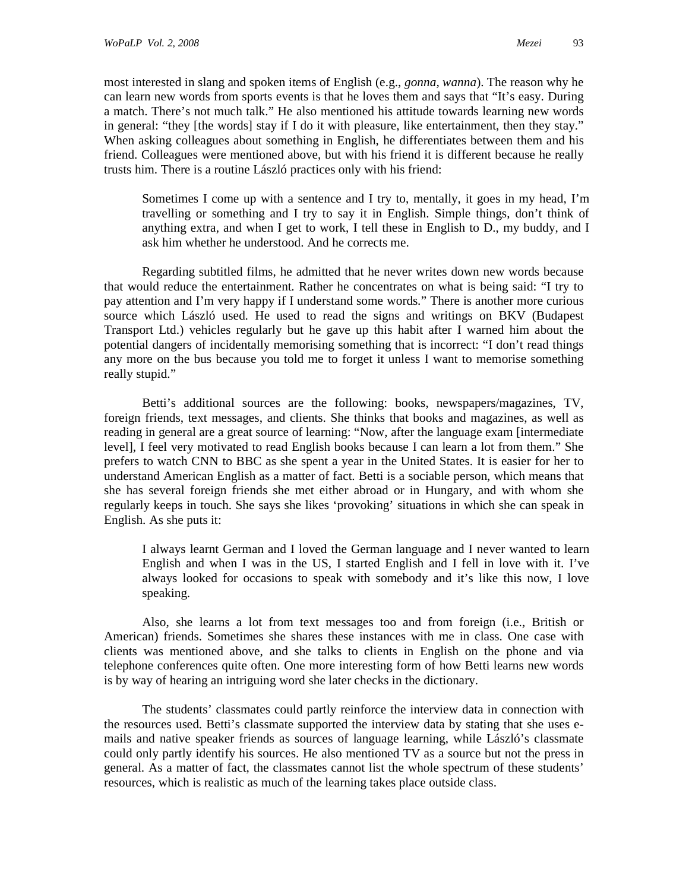most interested in slang and spoken items of English (e.g., *gonna, wanna*). The reason why he can learn new words from sports events is that he loves them and says that "It's easy. During a match. There's not much talk." He also mentioned his attitude towards learning new words in general: "they [the words] stay if I do it with pleasure, like entertainment, then they stay." When asking colleagues about something in English, he differentiates between them and his friend. Colleagues were mentioned above, but with his friend it is different because he really trusts him. There is a routine László practices only with his friend:

Sometimes I come up with a sentence and I try to, mentally, it goes in my head, I'm travelling or something and I try to say it in English. Simple things, don't think of anything extra, and when I get to work, I tell these in English to D., my buddy, and I ask him whether he understood. And he corrects me.

Regarding subtitled films, he admitted that he never writes down new words because that would reduce the entertainment. Rather he concentrates on what is being said: "I try to pay attention and I'm very happy if I understand some words." There is another more curious source which László used. He used to read the signs and writings on BKV (Budapest Transport Ltd.) vehicles regularly but he gave up this habit after I warned him about the potential dangers of incidentally memorising something that is incorrect: "I don't read things any more on the bus because you told me to forget it unless I want to memorise something really stupid."

Betti's additional sources are the following: books, newspapers/magazines, TV, foreign friends, text messages, and clients. She thinks that books and magazines, as well as reading in general are a great source of learning: "Now, after the language exam [intermediate level], I feel very motivated to read English books because I can learn a lot from them." She prefers to watch CNN to BBC as she spent a year in the United States. It is easier for her to understand American English as a matter of fact. Betti is a sociable person, which means that she has several foreign friends she met either abroad or in Hungary, and with whom she regularly keeps in touch. She says she likes 'provoking' situations in which she can speak in English. As she puts it:

I always learnt German and I loved the German language and I never wanted to learn English and when I was in the US, I started English and I fell in love with it. I've always looked for occasions to speak with somebody and it's like this now, I love speaking.

Also, she learns a lot from text messages too and from foreign (i.e., British or American) friends. Sometimes she shares these instances with me in class. One case with clients was mentioned above, and she talks to clients in English on the phone and via telephone conferences quite often. One more interesting form of how Betti learns new words is by way of hearing an intriguing word she later checks in the dictionary.

The students' classmates could partly reinforce the interview data in connection with the resources used. Betti's classmate supported the interview data by stating that she uses emails and native speaker friends as sources of language learning, while László's classmate could only partly identify his sources. He also mentioned TV as a source but not the press in general. As a matter of fact, the classmates cannot list the whole spectrum of these students' resources, which is realistic as much of the learning takes place outside class.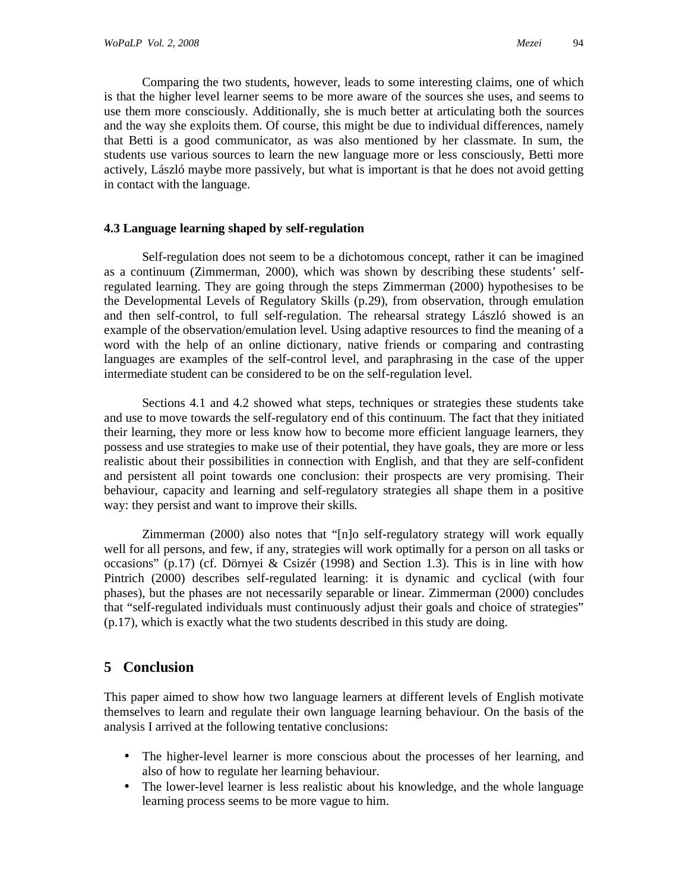Comparing the two students, however, leads to some interesting claims, one of which is that the higher level learner seems to be more aware of the sources she uses, and seems to use them more consciously. Additionally, she is much better at articulating both the sources and the way she exploits them. Of course, this might be due to individual differences, namely that Betti is a good communicator, as was also mentioned by her classmate. In sum, the students use various sources to learn the new language more or less consciously, Betti more actively, László maybe more passively, but what is important is that he does not avoid getting in contact with the language.

### **4.3 Language learning shaped by self-regulation**

Self-regulation does not seem to be a dichotomous concept, rather it can be imagined as a continuum (Zimmerman, 2000), which was shown by describing these students' selfregulated learning. They are going through the steps Zimmerman (2000) hypothesises to be the Developmental Levels of Regulatory Skills (p.29), from observation, through emulation and then self-control, to full self-regulation. The rehearsal strategy László showed is an example of the observation/emulation level. Using adaptive resources to find the meaning of a word with the help of an online dictionary, native friends or comparing and contrasting languages are examples of the self-control level, and paraphrasing in the case of the upper intermediate student can be considered to be on the self-regulation level.

Sections 4.1 and 4.2 showed what steps, techniques or strategies these students take and use to move towards the self-regulatory end of this continuum. The fact that they initiated their learning, they more or less know how to become more efficient language learners, they possess and use strategies to make use of their potential, they have goals, they are more or less realistic about their possibilities in connection with English, and that they are self-confident and persistent all point towards one conclusion: their prospects are very promising. Their behaviour, capacity and learning and self-regulatory strategies all shape them in a positive way: they persist and want to improve their skills.

Zimmerman (2000) also notes that "[n]o self-regulatory strategy will work equally well for all persons, and few, if any, strategies will work optimally for a person on all tasks or occasions" (p.17) (cf. Dörnyei & Csizér (1998) and Section 1.3). This is in line with how Pintrich (2000) describes self-regulated learning: it is dynamic and cyclical (with four phases), but the phases are not necessarily separable or linear. Zimmerman (2000) concludes that "self-regulated individuals must continuously adjust their goals and choice of strategies" (p.17), which is exactly what the two students described in this study are doing.

## **5 Conclusion**

This paper aimed to show how two language learners at different levels of English motivate themselves to learn and regulate their own language learning behaviour. On the basis of the analysis I arrived at the following tentative conclusions:

- The higher-level learner is more conscious about the processes of her learning, and also of how to regulate her learning behaviour.
- The lower-level learner is less realistic about his knowledge, and the whole language learning process seems to be more vague to him.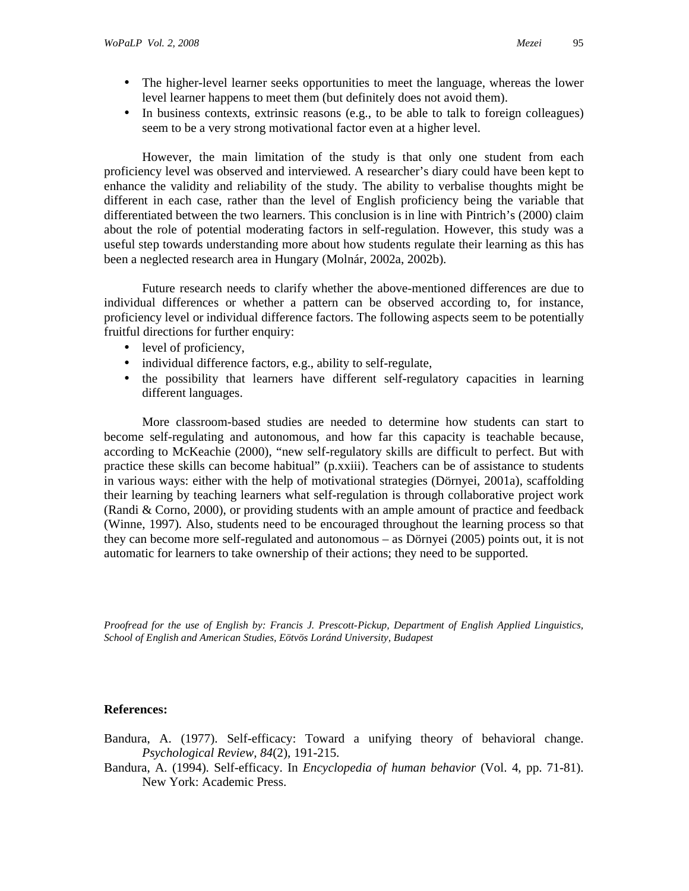- The higher-level learner seeks opportunities to meet the language, whereas the lower level learner happens to meet them (but definitely does not avoid them).
- In business contexts, extrinsic reasons (e.g., to be able to talk to foreign colleagues) seem to be a very strong motivational factor even at a higher level.

However, the main limitation of the study is that only one student from each proficiency level was observed and interviewed. A researcher's diary could have been kept to enhance the validity and reliability of the study. The ability to verbalise thoughts might be different in each case, rather than the level of English proficiency being the variable that differentiated between the two learners. This conclusion is in line with Pintrich's (2000) claim about the role of potential moderating factors in self-regulation. However, this study was a useful step towards understanding more about how students regulate their learning as this has been a neglected research area in Hungary (Molnár, 2002a, 2002b).

Future research needs to clarify whether the above-mentioned differences are due to individual differences or whether a pattern can be observed according to, for instance, proficiency level or individual difference factors. The following aspects seem to be potentially fruitful directions for further enquiry:

- level of proficiency,
- individual difference factors, e.g., ability to self-regulate,
- the possibility that learners have different self-regulatory capacities in learning different languages.

More classroom-based studies are needed to determine how students can start to become self-regulating and autonomous, and how far this capacity is teachable because, according to McKeachie (2000), "new self-regulatory skills are difficult to perfect. But with practice these skills can become habitual" (p.xxiii). Teachers can be of assistance to students in various ways: either with the help of motivational strategies (Dörnyei, 2001a), scaffolding their learning by teaching learners what self-regulation is through collaborative project work (Randi & Corno, 2000), or providing students with an ample amount of practice and feedback (Winne, 1997). Also, students need to be encouraged throughout the learning process so that they can become more self-regulated and autonomous – as Dörnyei (2005) points out, it is not automatic for learners to take ownership of their actions; they need to be supported.

*Proofread for the use of English by: Francis J. Prescott-Pickup, Department of English Applied Linguistics, School of English and American Studies, Eötvös Loránd University, Budapest*

#### **References:**

- Bandura, A. (1977). Self-efficacy: Toward a unifying theory of behavioral change. *Psychological Review, 84*(2), 191-215.
- Bandura, A. (1994). Self-efficacy. In *Encyclopedia of human behavior* (Vol. 4, pp. 71-81). New York: Academic Press.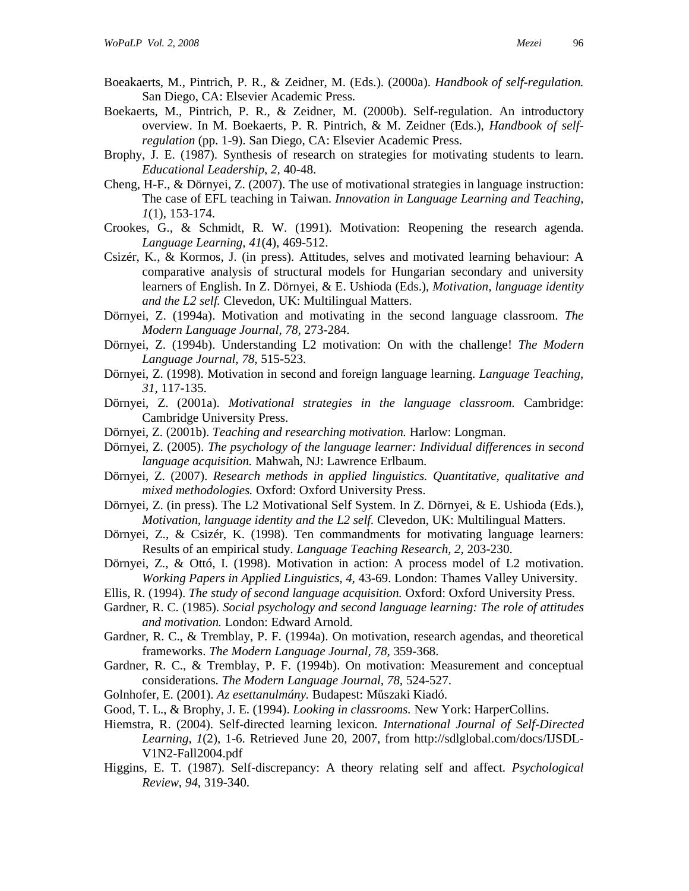- Boeakaerts, M., Pintrich, P. R., & Zeidner, M. (Eds.). (2000a). *Handbook of self-regulation.* San Diego, CA: Elsevier Academic Press.
- Boekaerts, M., Pintrich, P. R., & Zeidner, M. (2000b). Self-regulation. An introductory overview. In M. Boekaerts, P. R. Pintrich, & M. Zeidner (Eds.), *Handbook of selfregulation* (pp. 1-9). San Diego, CA: Elsevier Academic Press.
- Brophy, J. E. (1987). Synthesis of research on strategies for motivating students to learn. *Educational Leadership, 2,* 40-48.
- Cheng, H-F., & Dörnyei, Z. (2007). The use of motivational strategies in language instruction: The case of EFL teaching in Taiwan. *Innovation in Language Learning and Teaching, 1*(1), 153-174.
- Crookes, G., & Schmidt, R. W. (1991). Motivation: Reopening the research agenda. *Language Learning, 41*(4), 469-512.
- Csizér, K., & Kormos, J. (in press). Attitudes, selves and motivated learning behaviour: A comparative analysis of structural models for Hungarian secondary and university learners of English. In Z. Dörnyei, & E. Ushioda (Eds.), *Motivation, language identity and the L2 self.* Clevedon, UK: Multilingual Matters.
- Dörnyei, Z. (1994a). Motivation and motivating in the second language classroom. *The Modern Language Journal, 78,* 273-284.
- Dörnyei, Z. (1994b). Understanding L2 motivation: On with the challenge! *The Modern Language Journal, 78,* 515-523.
- Dörnyei, Z. (1998). Motivation in second and foreign language learning. *Language Teaching, 31,* 117-135.
- Dörnyei, Z. (2001a). *Motivational strategies in the language classroom.* Cambridge: Cambridge University Press.
- Dörnyei, Z. (2001b). *Teaching and researching motivation.* Harlow: Longman.
- Dörnyei, Z. (2005). *The psychology of the language learner: Individual differences in second language acquisition.* Mahwah, NJ: Lawrence Erlbaum.
- Dörnyei, Z. (2007). *Research methods in applied linguistics. Quantitative, qualitative and mixed methodologies.* Oxford: Oxford University Press.
- Dörnyei, Z. (in press). The L2 Motivational Self System. In Z. Dörnyei, & E. Ushioda (Eds.), *Motivation, language identity and the L2 self.* Clevedon, UK: Multilingual Matters.
- Dörnyei, Z., & Csizér, K. (1998). Ten commandments for motivating language learners: Results of an empirical study. *Language Teaching Research, 2,* 203-230.
- Dörnyei, Z., & Ottó, I. (1998). Motivation in action: A process model of L2 motivation. *Working Papers in Applied Linguistics, 4,* 43-69. London: Thames Valley University.
- Ellis, R. (1994). *The study of second language acquisition.* Oxford: Oxford University Press.
- Gardner, R. C. (1985). *Social psychology and second language learning: The role of attitudes and motivation.* London: Edward Arnold.
- Gardner, R. C., & Tremblay, P. F. (1994a). On motivation, research agendas, and theoretical frameworks. *The Modern Language Journal, 78,* 359-368.
- Gardner, R. C., & Tremblay, P. F. (1994b). On motivation: Measurement and conceptual considerations. *The Modern Language Journal, 78,* 524-527.
- Golnhofer, E. (2001). *Az esettanulmány.* Budapest: Mőszaki Kiadó.
- Good, T. L., & Brophy, J. E. (1994). *Looking in classrooms.* New York: HarperCollins.
- Hiemstra, R. (2004). Self-directed learning lexicon. *International Journal of Self-Directed Learning, 1*(2), 1-6. Retrieved June 20, 2007, from http://sdlglobal.com/docs/IJSDL-V1N2-Fall2004.pdf
- Higgins, E. T. (1987). Self-discrepancy: A theory relating self and affect. *Psychological Review, 94,* 319-340.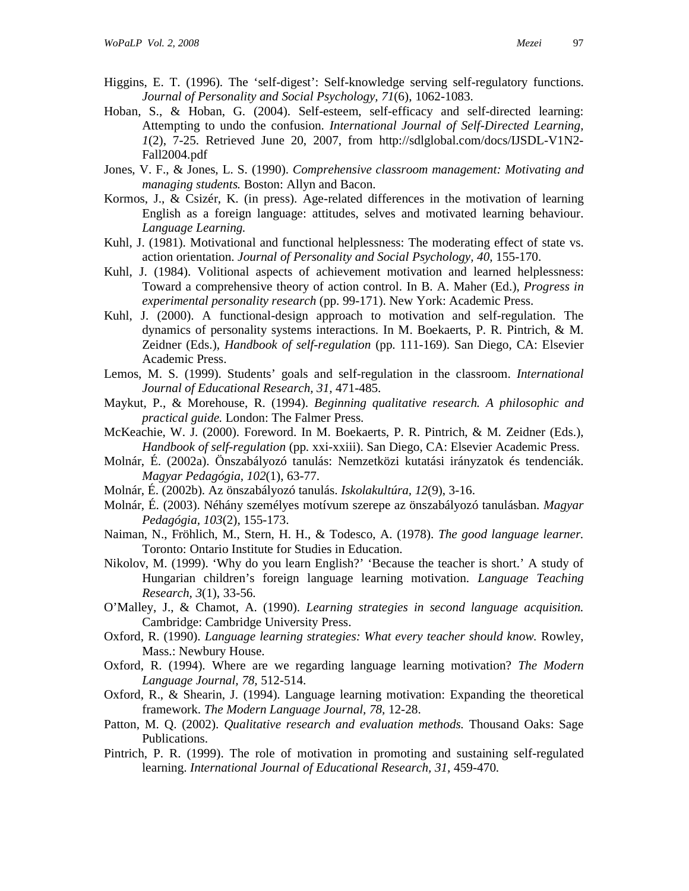- Higgins, E. T. (1996). The 'self-digest': Self-knowledge serving self-regulatory functions. *Journal of Personality and Social Psychology, 71*(6), 1062-1083.
- Hoban, S., & Hoban, G. (2004). Self-esteem, self-efficacy and self-directed learning: Attempting to undo the confusion. *International Journal of Self-Directed Learning, 1*(2), 7-25. Retrieved June 20, 2007, from http://sdlglobal.com/docs/IJSDL-V1N2- Fall2004.pdf
- Jones, V. F., & Jones, L. S. (1990). *Comprehensive classroom management: Motivating and managing students.* Boston: Allyn and Bacon.
- Kormos, J., & Csizér, K. (in press). Age-related differences in the motivation of learning English as a foreign language: attitudes, selves and motivated learning behaviour. *Language Learning.*
- Kuhl, J. (1981). Motivational and functional helplessness: The moderating effect of state vs. action orientation. *Journal of Personality and Social Psychology, 40,* 155-170.
- Kuhl, J. (1984). Volitional aspects of achievement motivation and learned helplessness: Toward a comprehensive theory of action control. In B. A. Maher (Ed.), *Progress in experimental personality research* (pp. 99-171). New York: Academic Press.
- Kuhl, J. (2000). A functional-design approach to motivation and self-regulation. The dynamics of personality systems interactions. In M. Boekaerts, P. R. Pintrich, & M. Zeidner (Eds.), *Handbook of self-regulation* (pp. 111-169). San Diego, CA: Elsevier Academic Press.
- Lemos, M. S. (1999). Students' goals and self-regulation in the classroom. *International Journal of Educational Research, 31,* 471-485.
- Maykut, P., & Morehouse, R. (1994). *Beginning qualitative research. A philosophic and practical guide.* London: The Falmer Press.
- McKeachie, W. J. (2000). Foreword. In M. Boekaerts, P. R. Pintrich, & M. Zeidner (Eds.), *Handbook of self-regulation* (pp. xxi-xxiii). San Diego, CA: Elsevier Academic Press.
- Molnár, É. (2002a). Önszabályozó tanulás: Nemzetközi kutatási irányzatok és tendenciák. *Magyar Pedagógia, 102*(1), 63-77.
- Molnár, É. (2002b). Az önszabályozó tanulás. *Iskolakultúra, 12*(9), 3-16.
- Molnár, É. (2003). Néhány személyes motívum szerepe az önszabályozó tanulásban. *Magyar Pedagógia, 103*(2), 155-173.
- Naiman, N., Fröhlich, M., Stern, H. H., & Todesco, A. (1978). *The good language learner.* Toronto: Ontario Institute for Studies in Education.
- Nikolov, M. (1999). 'Why do you learn English?' 'Because the teacher is short.' A study of Hungarian children's foreign language learning motivation. *Language Teaching Research, 3*(1), 33-56.
- O'Malley, J., & Chamot, A. (1990). *Learning strategies in second language acquisition.* Cambridge: Cambridge University Press.
- Oxford, R. (1990). *Language learning strategies: What every teacher should know.* Rowley, Mass.: Newbury House.
- Oxford, R. (1994). Where are we regarding language learning motivation? *The Modern Language Journal, 78,* 512-514.
- Oxford, R., & Shearin, J. (1994). Language learning motivation: Expanding the theoretical framework. *The Modern Language Journal, 78,* 12-28.
- Patton, M. Q. (2002). *Qualitative research and evaluation methods.* Thousand Oaks: Sage Publications.
- Pintrich, P. R. (1999). The role of motivation in promoting and sustaining self-regulated learning. *International Journal of Educational Research, 31,* 459-470.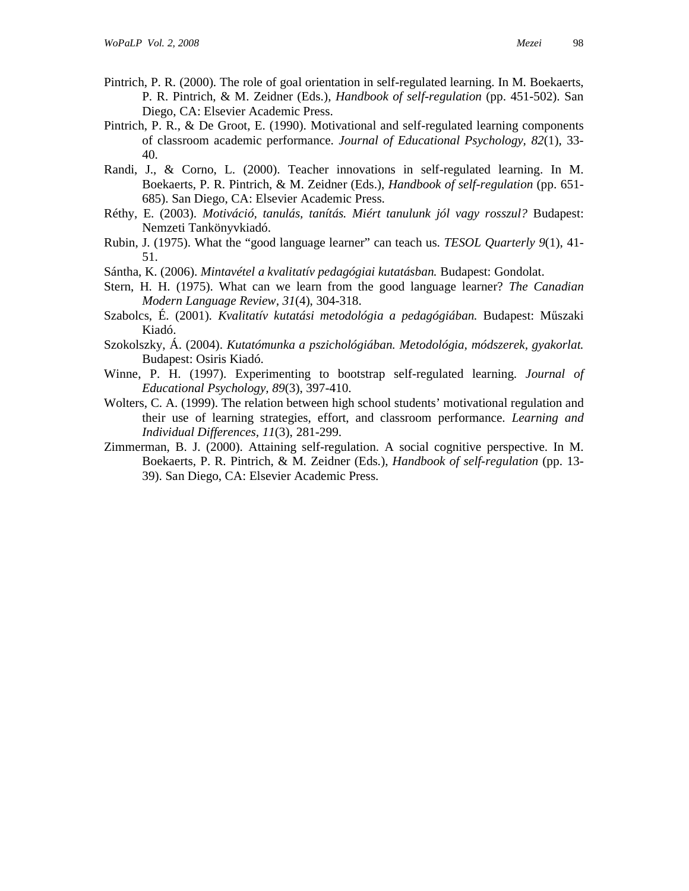- Pintrich, P. R. (2000). The role of goal orientation in self-regulated learning. In M. Boekaerts, P. R. Pintrich, & M. Zeidner (Eds.), *Handbook of self-regulation* (pp. 451-502). San Diego, CA: Elsevier Academic Press.
- Pintrich, P. R., & De Groot, E. (1990). Motivational and self-regulated learning components of classroom academic performance. *Journal of Educational Psychology, 82*(1), 33- 40.
- Randi, J., & Corno, L. (2000). Teacher innovations in self-regulated learning. In M. Boekaerts, P. R. Pintrich, & M. Zeidner (Eds.), *Handbook of self-regulation* (pp. 651- 685). San Diego, CA: Elsevier Academic Press.
- Réthy, E. (2003). *Motiváció, tanulás, tanítás. Miért tanulunk jól vagy rosszul?* Budapest: Nemzeti Tankönyvkiadó.
- Rubin, J. (1975). What the "good language learner" can teach us. *TESOL Quarterly 9*(1), 41- 51.
- Sántha, K. (2006). *Mintavétel a kvalitatív pedagógiai kutatásban.* Budapest: Gondolat.
- Stern, H. H. (1975). What can we learn from the good language learner? *The Canadian Modern Language Review, 31*(4), 304-318.
- Szabolcs, É. (2001). *Kvalitatív kutatási metodológia a pedagógiában.* Budapest: Mőszaki Kiadó.
- Szokolszky, Á. (2004). *Kutatómunka a pszichológiában. Metodológia, módszerek, gyakorlat.* Budapest: Osiris Kiadó.
- Winne, P. H. (1997). Experimenting to bootstrap self-regulated learning. *Journal of Educational Psychology, 89*(3), 397-410.
- Wolters, C. A. (1999). The relation between high school students' motivational regulation and their use of learning strategies, effort, and classroom performance. *Learning and Individual Differences, 11*(3), 281-299.
- Zimmerman, B. J. (2000). Attaining self-regulation. A social cognitive perspective. In M. Boekaerts, P. R. Pintrich, & M. Zeidner (Eds.), *Handbook of self-regulation* (pp. 13- 39). San Diego, CA: Elsevier Academic Press.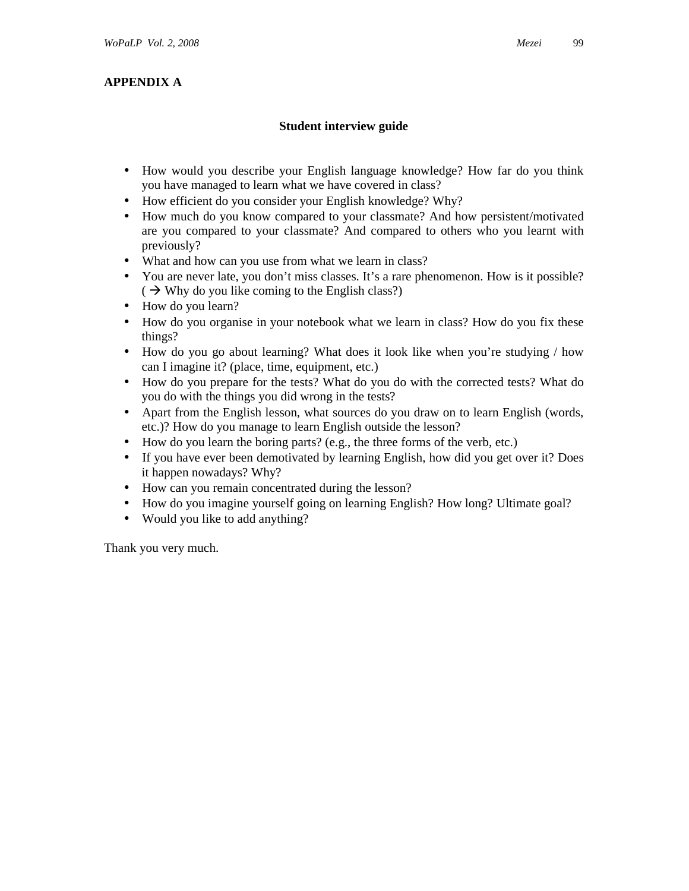## **Student interview guide**

- How would you describe your English language knowledge? How far do you think you have managed to learn what we have covered in class?
- How efficient do you consider your English knowledge? Why?
- How much do you know compared to your classmate? And how persistent/motivated are you compared to your classmate? And compared to others who you learnt with previously?
- What and how can you use from what we learn in class?
- You are never late, you don't miss classes. It's a rare phenomenon. How is it possible?  $($   $\rightarrow$  Why do you like coming to the English class?)
- How do you learn?
- How do you organise in your notebook what we learn in class? How do you fix these things?
- How do you go about learning? What does it look like when you're studying / how can I imagine it? (place, time, equipment, etc.)
- How do you prepare for the tests? What do you do with the corrected tests? What do you do with the things you did wrong in the tests?
- Apart from the English lesson, what sources do you draw on to learn English (words, etc.)? How do you manage to learn English outside the lesson?
- How do you learn the boring parts? (e.g., the three forms of the verb, etc.)
- If you have ever been demotivated by learning English, how did you get over it? Does it happen nowadays? Why?
- How can you remain concentrated during the lesson?
- How do you imagine yourself going on learning English? How long? Ultimate goal?
- Would you like to add anything?

Thank you very much.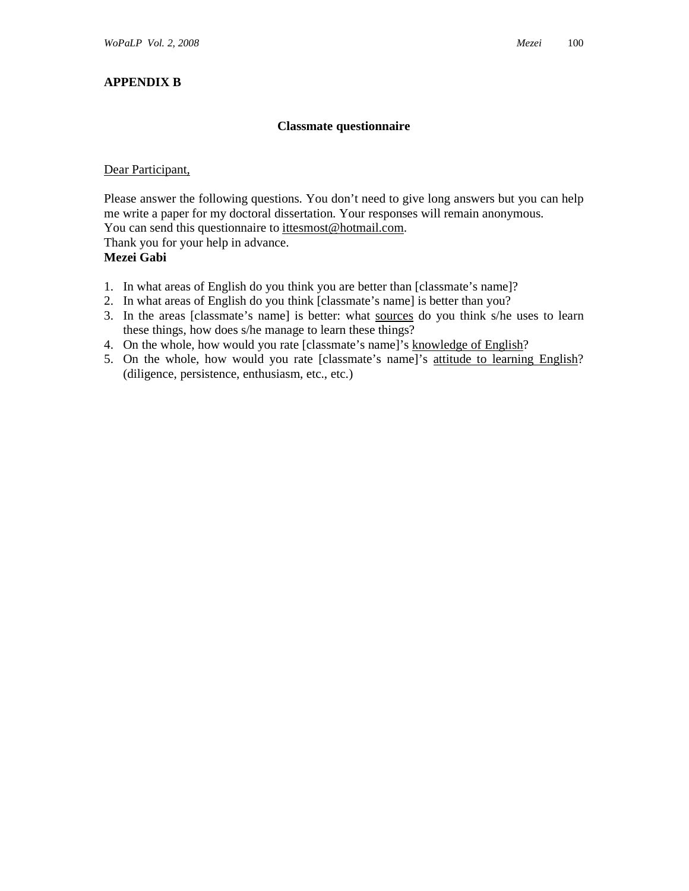## **APPENDIX B**

### **Classmate questionnaire**

### Dear Participant,

Please answer the following questions. You don't need to give long answers but you can help me write a paper for my doctoral dissertation. Your responses will remain anonymous. You can send this questionnaire to ittesmost@hotmail.com. Thank you for your help in advance.

### **Mezei Gabi**

- 1. In what areas of English do you think you are better than [classmate's name]?
- 2. In what areas of English do you think [classmate's name] is better than you?
- 3. In the areas [classmate's name] is better: what sources do you think s/he uses to learn these things, how does s/he manage to learn these things?
- 4. On the whole, how would you rate [classmate's name]'s knowledge of English?
- 5. On the whole, how would you rate [classmate's name]'s attitude to learning English? (diligence, persistence, enthusiasm, etc., etc.)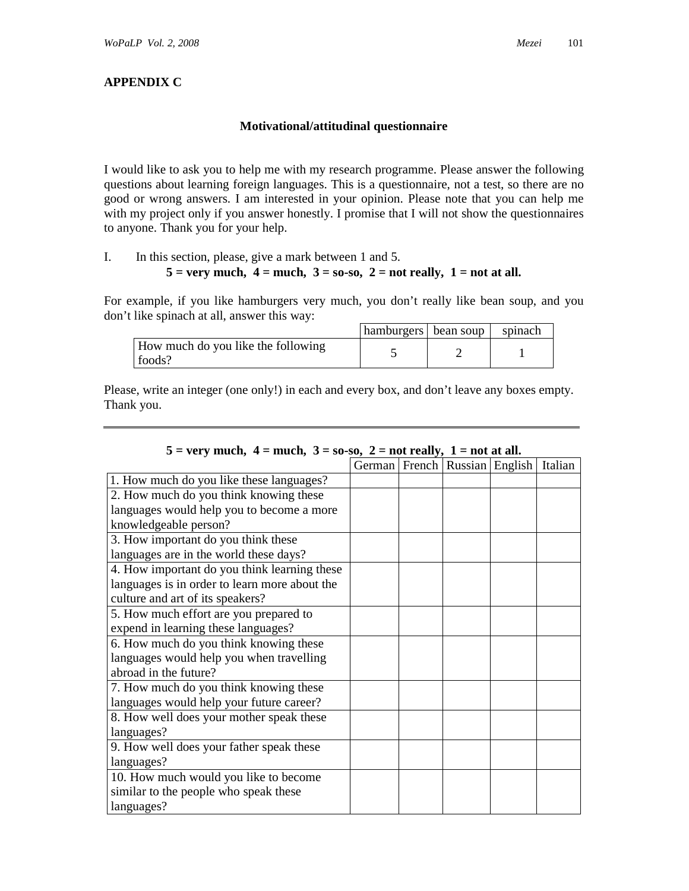## **APPENDIX C**

### **Motivational/attitudinal questionnaire**

I would like to ask you to help me with my research programme. Please answer the following questions about learning foreign languages. This is a questionnaire, not a test, so there are no good or wrong answers. I am interested in your opinion. Please note that you can help me with my project only if you answer honestly. I promise that I will not show the questionnaires to anyone. Thank you for your help.

## I. In this section, please, give a mark between 1 and 5.  $5 = \text{very much}, 4 = \text{much}, 3 = \text{so-so}, 2 = \text{not really}, 1 = \text{not at all}.$

For example, if you like hamburgers very much, you don't really like bean soup, and you don't like spinach at all, answer this way:

|                                              | hamburgers bean soup | spinach |
|----------------------------------------------|----------------------|---------|
| How much do you like the following<br>foods? |                      |         |

Please, write an integer (one only!) in each and every box, and don't leave any boxes empty. Thank you.

|                                               | German | French   Russian   English   Italian |  |
|-----------------------------------------------|--------|--------------------------------------|--|
| 1. How much do you like these languages?      |        |                                      |  |
| 2. How much do you think knowing these        |        |                                      |  |
| languages would help you to become a more     |        |                                      |  |
| knowledgeable person?                         |        |                                      |  |
| 3. How important do you think these           |        |                                      |  |
| languages are in the world these days?        |        |                                      |  |
| 4. How important do you think learning these  |        |                                      |  |
| languages is in order to learn more about the |        |                                      |  |
| culture and art of its speakers?              |        |                                      |  |
| 5. How much effort are you prepared to        |        |                                      |  |
| expend in learning these languages?           |        |                                      |  |
| 6. How much do you think knowing these        |        |                                      |  |
| languages would help you when travelling      |        |                                      |  |
| abroad in the future?                         |        |                                      |  |
| 7. How much do you think knowing these        |        |                                      |  |
| languages would help your future career?      |        |                                      |  |
| 8. How well does your mother speak these      |        |                                      |  |
| languages?                                    |        |                                      |  |
| 9. How well does your father speak these      |        |                                      |  |
| languages?                                    |        |                                      |  |
| 10. How much would you like to become         |        |                                      |  |
| similar to the people who speak these         |        |                                      |  |
| languages?                                    |        |                                      |  |

## $5 = \text{very much}, 4 = \text{much}, 3 = \text{so-so}, 2 = \text{not really}, 1 = \text{not at all}.$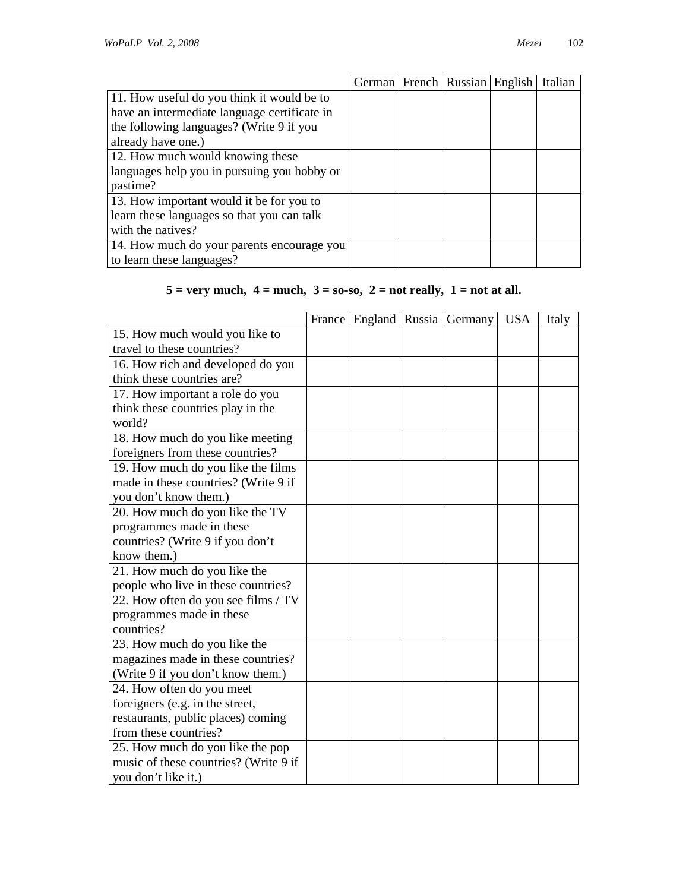|                                              |  | German   French   Russian   English | Italian |
|----------------------------------------------|--|-------------------------------------|---------|
| 11. How useful do you think it would be to   |  |                                     |         |
| have an intermediate language certificate in |  |                                     |         |
| the following languages? (Write 9 if you     |  |                                     |         |
| already have one.)                           |  |                                     |         |
| 12. How much would knowing these             |  |                                     |         |
| languages help you in pursuing you hobby or  |  |                                     |         |
| pastime?                                     |  |                                     |         |
| 13. How important would it be for you to     |  |                                     |         |
| learn these languages so that you can talk   |  |                                     |         |
| with the natives?                            |  |                                     |         |
| 14. How much do your parents encourage you   |  |                                     |         |
| to learn these languages?                    |  |                                     |         |

## $5 = \text{very much}, 4 = \text{much}, 3 = \text{so-so}, 2 = \text{not really}, 1 = \text{not at all}.$

|                                       | France   England   Russia | Germany | <b>USA</b> | Italy |
|---------------------------------------|---------------------------|---------|------------|-------|
| 15. How much would you like to        |                           |         |            |       |
| travel to these countries?            |                           |         |            |       |
| 16. How rich and developed do you     |                           |         |            |       |
| think these countries are?            |                           |         |            |       |
| 17. How important a role do you       |                           |         |            |       |
| think these countries play in the     |                           |         |            |       |
| world?                                |                           |         |            |       |
| 18. How much do you like meeting      |                           |         |            |       |
| foreigners from these countries?      |                           |         |            |       |
| 19. How much do you like the films    |                           |         |            |       |
| made in these countries? (Write 9 if  |                           |         |            |       |
| you don't know them.)                 |                           |         |            |       |
| 20. How much do you like the TV       |                           |         |            |       |
| programmes made in these              |                           |         |            |       |
| countries? (Write 9 if you don't      |                           |         |            |       |
| know them.)                           |                           |         |            |       |
| 21. How much do you like the          |                           |         |            |       |
| people who live in these countries?   |                           |         |            |       |
| 22. How often do you see films / TV   |                           |         |            |       |
| programmes made in these              |                           |         |            |       |
| countries?                            |                           |         |            |       |
| 23. How much do you like the          |                           |         |            |       |
| magazines made in these countries?    |                           |         |            |       |
| (Write 9 if you don't know them.)     |                           |         |            |       |
| 24. How often do you meet             |                           |         |            |       |
| foreigners (e.g. in the street,       |                           |         |            |       |
| restaurants, public places) coming    |                           |         |            |       |
| from these countries?                 |                           |         |            |       |
| 25. How much do you like the pop      |                           |         |            |       |
| music of these countries? (Write 9 if |                           |         |            |       |
| you don't like it.)                   |                           |         |            |       |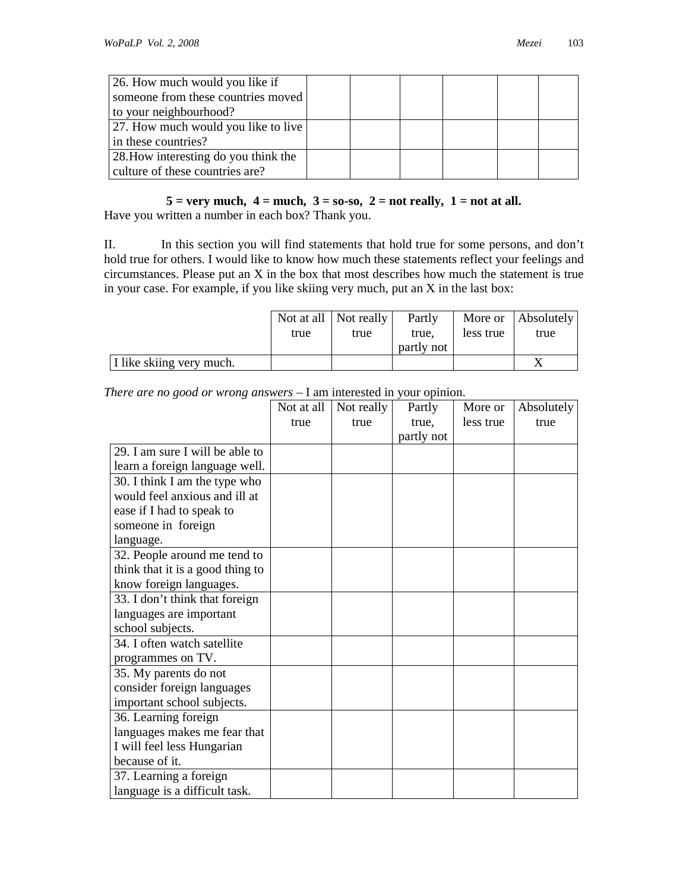| 26. How much would you like if       |  |  |  |
|--------------------------------------|--|--|--|
| someone from these countries moved   |  |  |  |
| to your neighbourhood?               |  |  |  |
| 27. How much would you like to live  |  |  |  |
| in these countries?                  |  |  |  |
| 28. How interesting do you think the |  |  |  |
| culture of these countries are?      |  |  |  |

 $5 = \text{very much}, 4 = \text{much}, 3 = \text{so-so}, 2 = \text{not really}, 1 = \text{not at all}.$ Have you written a number in each box? Thank you.

II. In this section you will find statements that hold true for some persons, and don't hold true for others. I would like to know how much these statements reflect your feelings and circumstances. Please put an X in the box that most describes how much the statement is true in your case. For example, if you like skiing very much, put an X in the last box:

|                          |      | Not at all $\vert$ Not really $\vert$ | Partly     |           | More or Absolutely |
|--------------------------|------|---------------------------------------|------------|-----------|--------------------|
|                          | true | true                                  | true.      | less true | true               |
|                          |      |                                       | partly not |           |                    |
| I like skiing very much. |      |                                       |            |           |                    |

|                                  | Not at all | Not really | Partly     | More or   | Absolutely |
|----------------------------------|------------|------------|------------|-----------|------------|
|                                  | true       | true       | true.      | less true | true       |
|                                  |            |            | partly not |           |            |
| 29. I am sure I will be able to  |            |            |            |           |            |
| learn a foreign language well.   |            |            |            |           |            |
| 30. I think I am the type who    |            |            |            |           |            |
| would feel anxious and ill at    |            |            |            |           |            |
| ease if I had to speak to        |            |            |            |           |            |
| someone in foreign               |            |            |            |           |            |
| language.                        |            |            |            |           |            |
| 32. People around me tend to     |            |            |            |           |            |
| think that it is a good thing to |            |            |            |           |            |
| know foreign languages.          |            |            |            |           |            |
| 33. I don't think that foreign   |            |            |            |           |            |
| languages are important          |            |            |            |           |            |
| school subjects.                 |            |            |            |           |            |
| 34. I often watch satellite      |            |            |            |           |            |
| programmes on TV.                |            |            |            |           |            |
| 35. My parents do not            |            |            |            |           |            |
| consider foreign languages       |            |            |            |           |            |
| important school subjects.       |            |            |            |           |            |
| 36. Learning foreign             |            |            |            |           |            |
| languages makes me fear that     |            |            |            |           |            |
| I will feel less Hungarian       |            |            |            |           |            |
| because of it.                   |            |            |            |           |            |
| 37. Learning a foreign           |            |            |            |           |            |
| language is a difficult task.    |            |            |            |           |            |

*There are no good or wrong answers –* I am interested in your opinion.